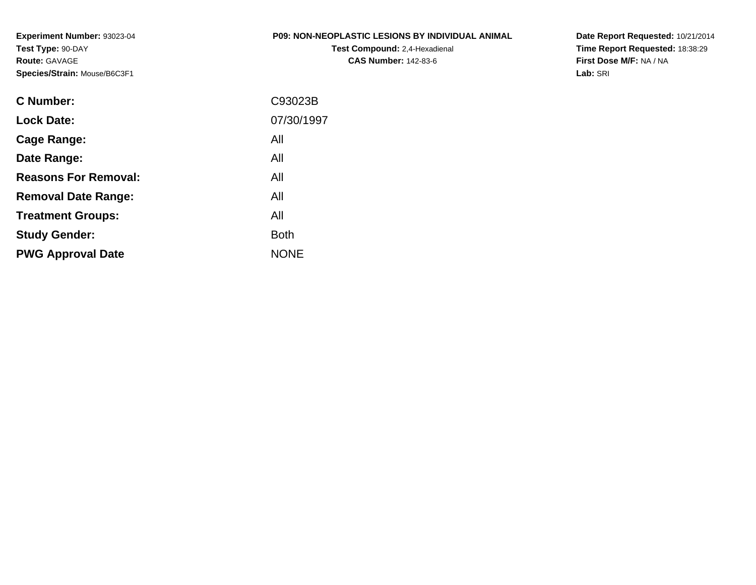**Experiment Number:** 93023-04**Test Type:** 90-DAY**Route:** GAVAGE**Species/Strain:** Mouse/B6C3F1

## **P09: NON-NEOPLASTIC LESIONS BY INDIVIDUAL ANIMAL**

**Test Compound:** 2,4-Hexadienal **CAS Number:** 142-83-6

**Date Report Requested:** 10/21/2014 **Time Report Requested:** 18:38:29**First Dose M/F:** NA / NA**Lab:** SRI

| C Number:                   | C93023B     |
|-----------------------------|-------------|
| <b>Lock Date:</b>           | 07/30/1997  |
| Cage Range:                 | All         |
| Date Range:                 | All         |
| <b>Reasons For Removal:</b> | All         |
| <b>Removal Date Range:</b>  | All         |
| <b>Treatment Groups:</b>    | All         |
| <b>Study Gender:</b>        | <b>Both</b> |
| <b>PWG Approval Date</b>    | <b>NONE</b> |
|                             |             |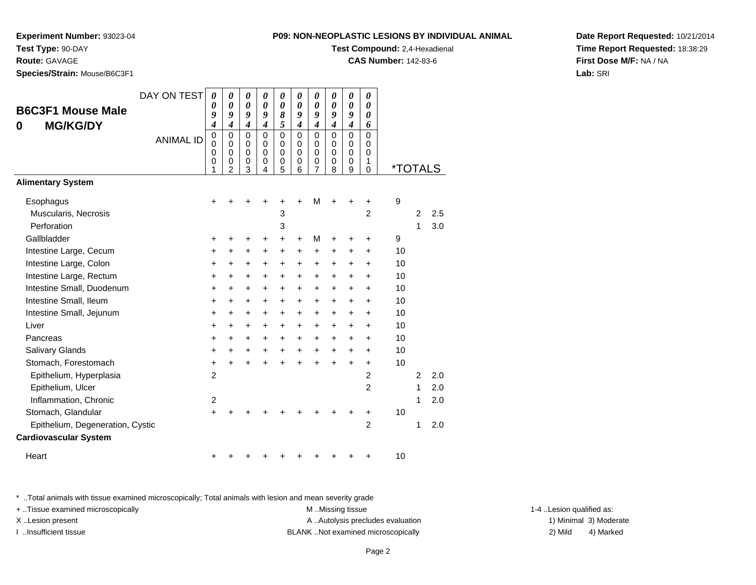**Experiment Number:** 93023-04

**Test Type:** 90-DAY

**Route:** GAVAGE

**Species/Strain:** Mouse/B6C3F1

| <b>P09: NON-NEOPLASTIC LESIONS BY INDIVIDUAL ANIMAL</b> |  |  |
|---------------------------------------------------------|--|--|
|                                                         |  |  |

**Test Compound:** 2,4-Hexadienal

**CAS Number:** 142-83-6

**Date Report Requested:** 10/21/2014**Time Report Requested:** 18:38:29**First Dose M/F:** NA / NA**Lab:** SRI

|                                                                  | DAY ON TEST      | 0                                     | 0                                      | 0                                         | 0                                                | 0                                                | 0                                         | 0                                                | 0                                                | 0                                              | 0                                                   |                       |                |     |
|------------------------------------------------------------------|------------------|---------------------------------------|----------------------------------------|-------------------------------------------|--------------------------------------------------|--------------------------------------------------|-------------------------------------------|--------------------------------------------------|--------------------------------------------------|------------------------------------------------|-----------------------------------------------------|-----------------------|----------------|-----|
| <b>B6C3F1 Mouse Male</b><br><b>MG/KG/DY</b><br>0                 |                  | 0<br>9<br>$\overline{\boldsymbol{4}}$ | 0<br>9<br>$\boldsymbol{4}$             | 0<br>9<br>$\overline{\boldsymbol{4}}$     | 0<br>9<br>$\boldsymbol{4}$                       | 0<br>$\pmb{8}$<br>5                              | 0<br>9<br>$\boldsymbol{4}$                | 0<br>9<br>$\boldsymbol{4}$                       | 0<br>9<br>$\boldsymbol{4}$                       | $\boldsymbol{\theta}$<br>9<br>$\boldsymbol{4}$ | 0<br>0<br>6                                         |                       |                |     |
|                                                                  | <b>ANIMAL ID</b> | $\mathbf 0$<br>0<br>0<br>0<br>1       | 0<br>$\Omega$<br>$\mathbf 0$<br>0<br>2 | $\mathbf 0$<br>0<br>$\mathbf 0$<br>0<br>3 | $\mathbf 0$<br>$\Omega$<br>$\mathbf 0$<br>0<br>4 | $\mathbf 0$<br>$\Omega$<br>$\mathbf 0$<br>0<br>5 | $\mathbf 0$<br>0<br>$\mathbf 0$<br>0<br>6 | $\mathbf 0$<br>$\Omega$<br>$\mathbf 0$<br>0<br>7 | $\mathbf 0$<br>$\Omega$<br>$\mathbf 0$<br>0<br>8 | 0<br>0<br>$\mathbf 0$<br>0<br>9                | $\mathbf 0$<br>0<br>$\mathbf 0$<br>1<br>$\mathbf 0$ | <i><b>*TOTALS</b></i> |                |     |
| <b>Alimentary System</b>                                         |                  |                                       |                                        |                                           |                                                  |                                                  |                                           |                                                  |                                                  |                                                |                                                     |                       |                |     |
| Esophagus<br>Muscularis, Necrosis                                |                  | +                                     |                                        |                                           |                                                  | 3                                                | +                                         | M                                                | +                                                | +                                              | +<br>$\overline{2}$                                 | 9                     | $\overline{2}$ | 2.5 |
| Perforation<br>Gallbladder                                       |                  |                                       |                                        |                                           |                                                  | 3<br>+                                           | +                                         | M                                                |                                                  |                                                | +                                                   | 9                     | 1              | 3.0 |
| Intestine Large, Cecum                                           |                  | ٠<br>+                                | +                                      | +                                         | $\ddot{}$                                        | $\ddot{}$                                        | $\ddot{}$                                 | +                                                | ٠<br>+                                           | +                                              | $\ddot{}$                                           | 10                    |                |     |
| Intestine Large, Colon                                           |                  | $\ddot{}$                             | +                                      | $\ddot{}$                                 | $\ddot{}$                                        | $\ddot{}$                                        | $\ddot{}$                                 | $\pm$                                            | $\ddot{}$                                        | +                                              | +                                                   | 10                    |                |     |
| Intestine Large, Rectum                                          |                  | $\ddot{}$                             | +                                      | +                                         | $\ddot{}$                                        | $\ddot{}$                                        | $\ddot{}$                                 | +                                                | +                                                | +                                              | +                                                   | 10                    |                |     |
| Intestine Small, Duodenum                                        |                  | $\ddot{}$                             | +                                      | +                                         | $\ddot{}$                                        | $\ddot{}$                                        | $\ddot{}$                                 | +                                                | +                                                | +                                              | $\ddot{}$                                           | 10                    |                |     |
| Intestine Small, Ileum                                           |                  | +                                     | +                                      | +                                         | $\ddot{}$                                        | +                                                | $\ddot{}$                                 | +                                                | +                                                | +                                              | +                                                   | 10                    |                |     |
| Intestine Small, Jejunum                                         |                  | $\ddot{}$                             | $\ddot{}$                              | +                                         | $\ddot{}$                                        | $\ddot{}$                                        | $\ddot{}$                                 | $\ddot{}$                                        | $\ddot{}$                                        | +                                              | +                                                   | 10                    |                |     |
| Liver                                                            |                  | $\ddot{}$                             | +                                      | +                                         | $\ddot{}$                                        | $\ddot{}$                                        | $\ddot{}$                                 | $\ddot{}$                                        | $\ddot{}$                                        | +                                              | +                                                   | 10                    |                |     |
| Pancreas                                                         |                  | $\ddot{}$                             | +                                      | +                                         | $\ddot{}$                                        | $\ddot{}$                                        | $\ddot{}$                                 | $\ddot{}$                                        | $\ddot{}$                                        | +                                              | +                                                   | 10                    |                |     |
| Salivary Glands                                                  |                  | +                                     | +                                      | $\pm$                                     | $\ddot{}$                                        | $\ddot{}$                                        | $\ddot{}$                                 | +                                                | $\ddot{}$                                        | $\ddot{}$                                      | $\pm$                                               | 10                    |                |     |
| Stomach, Forestomach                                             |                  | $\ddot{}$                             | $\ddot{}$                              | $\ddot{}$                                 | $\ddot{}$                                        | $\ddot{}$                                        | $\ddot{}$                                 | $\ddot{}$                                        | $\ddot{}$                                        | $\ddot{}$                                      | +                                                   | 10                    |                |     |
| Epithelium, Hyperplasia                                          |                  | $\overline{2}$                        |                                        |                                           |                                                  |                                                  |                                           |                                                  |                                                  |                                                | $\overline{2}$                                      |                       | $\overline{2}$ | 2.0 |
| Epithelium, Ulcer                                                |                  |                                       |                                        |                                           |                                                  |                                                  |                                           |                                                  |                                                  |                                                | $\overline{2}$                                      |                       | 1              | 2.0 |
| Inflammation, Chronic                                            |                  | $\overline{c}$                        |                                        |                                           |                                                  |                                                  |                                           |                                                  |                                                  |                                                |                                                     |                       | 1              | 2.0 |
| Stomach, Glandular                                               |                  | $\ddot{}$                             |                                        |                                           |                                                  |                                                  |                                           |                                                  |                                                  |                                                | +                                                   | 10                    |                |     |
| Epithelium, Degeneration, Cystic<br><b>Cardiovascular System</b> |                  |                                       |                                        |                                           |                                                  |                                                  |                                           |                                                  |                                                  |                                                | $\overline{2}$                                      |                       | 1              | 2.0 |
| Heart                                                            |                  | +                                     |                                        |                                           |                                                  |                                                  |                                           |                                                  |                                                  |                                                | +                                                   | 10                    |                |     |

\* ..Total animals with tissue examined microscopically; Total animals with lesion and mean severity grade

+ ..Tissue examined microscopically examined microscopically examined as:  $M$  ..Missing tissue 1-4 ..Lesion qualified as:

M ..Missing tissue X..Lesion present **A ..Autolysis precludes evaluation** A ..Autolysis precludes evaluation 1) Minimal 3) Moderate

I ..Insufficient tissue BLANK ..Not examined microscopically 2) Mild 4) Marked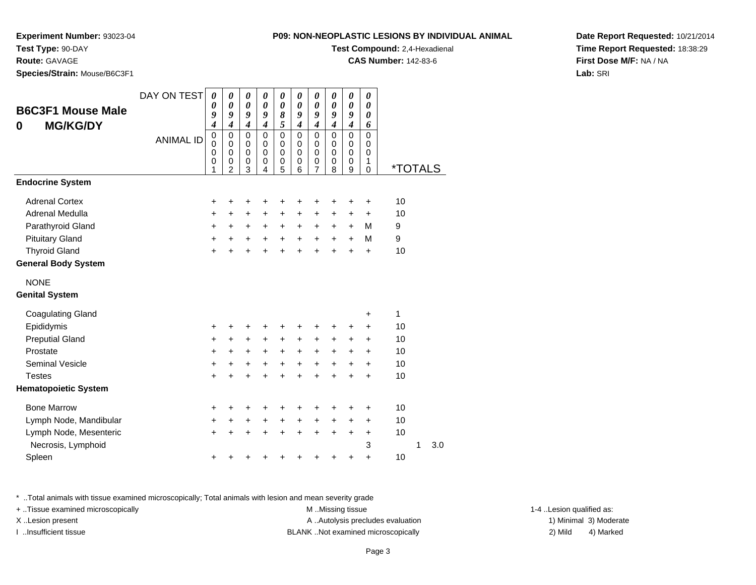**Experiment Number:** 93023-04**Test Type:** 90-DAY

**Route:** GAVAGE

**Species/Strain:** Mouse/B6C3F1

**Test Compound:** 2,4-Hexadienal

**CAS Number:** 142-83-6

**Date Report Requested:** 10/21/2014**Time Report Requested:** 18:38:29**First Dose M/F:** NA / NA**Lab:** SRI

| <b>B6C3F1 Mouse Male</b>    | DAY ON TEST      | 0<br>0                                            | 0<br>$\boldsymbol{\theta}$                          | 0<br>0                                              | 0<br>0                                           | 0<br>0                                    | 0<br>0                       | 0<br>0                                    | 0<br>$\boldsymbol{\theta}$                       | 0<br>0                                           | 0<br>$\boldsymbol{\theta}$                                 |                       |   |     |
|-----------------------------|------------------|---------------------------------------------------|-----------------------------------------------------|-----------------------------------------------------|--------------------------------------------------|-------------------------------------------|------------------------------|-------------------------------------------|--------------------------------------------------|--------------------------------------------------|------------------------------------------------------------|-----------------------|---|-----|
|                             |                  | 9<br>$\boldsymbol{4}$                             | 9<br>$\boldsymbol{4}$                               | 9<br>$\boldsymbol{4}$                               | 9<br>$\boldsymbol{4}$                            | 8<br>5                                    | 9<br>4                       | 9<br>$\boldsymbol{4}$                     | 9<br>$\boldsymbol{4}$                            | 9<br>$\boldsymbol{4}$                            | 0<br>6                                                     |                       |   |     |
| <b>MG/KG/DY</b><br>0        | <b>ANIMAL ID</b> | $\pmb{0}$<br>$\mathbf 0$<br>$\mathbf 0$<br>0<br>1 | 0<br>$\Omega$<br>$\mathbf 0$<br>0<br>$\overline{2}$ | $\mathbf 0$<br>$\mathbf 0$<br>$\mathbf 0$<br>0<br>3 | $\mathbf 0$<br>$\Omega$<br>$\mathbf 0$<br>0<br>4 | $\mathbf 0$<br>$\mathbf 0$<br>0<br>0<br>5 | 0<br>$\Omega$<br>0<br>0<br>6 | $\mathbf 0$<br>0<br>$\mathbf 0$<br>0<br>7 | $\mathbf 0$<br>$\Omega$<br>$\mathbf 0$<br>0<br>8 | $\mathbf 0$<br>$\Omega$<br>$\mathbf 0$<br>0<br>9 | $\mathbf 0$<br>$\Omega$<br>$\mathbf 0$<br>1<br>$\mathbf 0$ | <i><b>*TOTALS</b></i> |   |     |
| <b>Endocrine System</b>     |                  |                                                   |                                                     |                                                     |                                                  |                                           |                              |                                           |                                                  |                                                  |                                                            |                       |   |     |
| <b>Adrenal Cortex</b>       |                  | +                                                 | +                                                   | +                                                   | +                                                | +                                         | +                            | +                                         | +                                                | +                                                | +                                                          | 10                    |   |     |
| Adrenal Medulla             |                  | +                                                 | +                                                   | +                                                   | $\ddot{}$                                        | +                                         | +                            | +                                         | $\ddot{}$                                        | $\ddot{}$                                        | +                                                          | 10                    |   |     |
| Parathyroid Gland           |                  | $\ddot{}$                                         | +                                                   | +                                                   | $\pm$                                            | +                                         | +                            | +                                         | $\ddot{}$                                        | $\ddot{}$                                        | M                                                          | 9                     |   |     |
| <b>Pituitary Gland</b>      |                  | $\ddot{}$                                         | $\ddot{}$                                           | $\ddot{}$                                           | $+$                                              | $+$                                       | $\ddot{}$                    | $\ddot{}$                                 | $\ddot{}$                                        | $\ddot{}$                                        | M                                                          | $\boldsymbol{9}$      |   |     |
| <b>Thyroid Gland</b>        |                  | $\ddot{}$                                         | $\ddot{}$                                           | $\ddot{}$                                           | $\ddot{}$                                        | $\ddot{}$                                 | $\ddot{}$                    | $\ddot{}$                                 | $\ddot{}$                                        | $\ddot{}$                                        | $\ddot{}$                                                  | 10                    |   |     |
| <b>General Body System</b>  |                  |                                                   |                                                     |                                                     |                                                  |                                           |                              |                                           |                                                  |                                                  |                                                            |                       |   |     |
| <b>NONE</b>                 |                  |                                                   |                                                     |                                                     |                                                  |                                           |                              |                                           |                                                  |                                                  |                                                            |                       |   |     |
| <b>Genital System</b>       |                  |                                                   |                                                     |                                                     |                                                  |                                           |                              |                                           |                                                  |                                                  |                                                            |                       |   |     |
| <b>Coagulating Gland</b>    |                  |                                                   |                                                     |                                                     |                                                  |                                           |                              |                                           |                                                  |                                                  | +                                                          | 1                     |   |     |
| Epididymis                  |                  | +                                                 | +                                                   | +                                                   | +                                                | +                                         | +                            |                                           |                                                  | +                                                | +                                                          | 10                    |   |     |
| <b>Preputial Gland</b>      |                  | +                                                 | +                                                   | $\pm$                                               | $\ddot{}$                                        | +                                         | +                            | +                                         | $\ddot{}$                                        | +                                                | +                                                          | 10                    |   |     |
| Prostate                    |                  | +                                                 | +                                                   | +                                                   | $\ddot{}$                                        | $\ddot{}$                                 | +                            | +                                         | $\ddot{}$                                        | $\ddot{}$                                        | $\ddot{}$                                                  | 10                    |   |     |
| <b>Seminal Vesicle</b>      |                  | $\ddot{}$                                         | $\ddot{}$                                           | $\ddot{}$                                           | $+$                                              | $+$                                       | $+$                          | $\ddot{}$                                 | $+$                                              | $\ddot{}$                                        | $\ddot{}$                                                  | 10                    |   |     |
| <b>Testes</b>               |                  | $\ddot{}$                                         | $\ddot{}$                                           | $\ddot{}$                                           | $\ddot{}$                                        | $\ddot{}$                                 | $\ddot{}$                    | $\ddot{}$                                 | $\ddot{}$                                        | $\ddot{}$                                        | $\ddot{}$                                                  | 10                    |   |     |
| <b>Hematopoietic System</b> |                  |                                                   |                                                     |                                                     |                                                  |                                           |                              |                                           |                                                  |                                                  |                                                            |                       |   |     |
| <b>Bone Marrow</b>          |                  | +                                                 | +                                                   | +                                                   | +                                                | +                                         | +                            | +                                         | ÷                                                | +                                                | +                                                          | 10                    |   |     |
| Lymph Node, Mandibular      |                  | $\ddot{}$                                         | $\ddot{}$                                           | +                                                   | $\ddot{}$                                        | $\ddot{}$                                 | +                            | +                                         | $\ddot{}$                                        | $\ddot{}$                                        | $\ddot{}$                                                  | 10                    |   |     |
| Lymph Node, Mesenteric      |                  | +                                                 | +                                                   | +                                                   | +                                                | +                                         | +                            | +                                         | $\ddot{}$                                        | +                                                | +                                                          | 10                    |   |     |
| Necrosis, Lymphoid          |                  |                                                   |                                                     |                                                     |                                                  |                                           |                              |                                           |                                                  |                                                  | 3                                                          |                       | 1 | 3.0 |
| Spleen                      |                  | +                                                 |                                                     |                                                     |                                                  |                                           |                              |                                           |                                                  |                                                  | $\ddot{}$                                                  | 10                    |   |     |

\* ..Total animals with tissue examined microscopically; Total animals with lesion and mean severity grade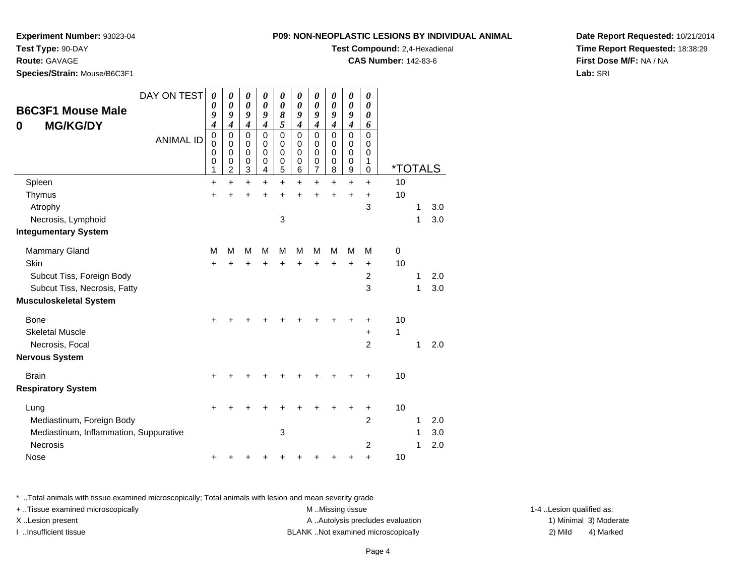**Test Type:** 90-DAY

## **Route:** GAVAGE

**Species/Strain:** Mouse/B6C3F1

#### **P09: NON-NEOPLASTIC LESIONS BY INDIVIDUAL ANIMAL**

**Test Compound:** 2,4-Hexadienal

**CAS Number:** 142-83-6

**Date Report Requested:** 10/21/2014**Time Report Requested:** 18:38:29**First Dose M/F:** NA / NA**Lab:** SRI

| <b>B6C3F1 Mouse Male</b><br><b>MG/KG/DY</b><br>0 | DAY ON TEST<br><b>ANIMAL ID</b> | 0<br>0<br>9<br>$\boldsymbol{4}$<br>$\mathbf 0$<br>$\mathbf 0$ | 0<br>0<br>9<br>$\boldsymbol{4}$<br>$\mathbf 0$<br>$\Omega$ | 0<br>$\boldsymbol{\theta}$<br>9<br>$\boldsymbol{4}$<br>$\pmb{0}$<br>$\Omega$ | 0<br>$\boldsymbol{\theta}$<br>9<br>$\boldsymbol{4}$<br>$\mathbf 0$<br>$\Omega$ | 0<br>$\boldsymbol{\theta}$<br>8<br>5<br>$\pmb{0}$<br>$\mathbf 0$ | 0<br>0<br>9<br>$\boldsymbol{4}$<br>0<br>0 | 0<br>$\pmb{\theta}$<br>9<br>$\boldsymbol{4}$<br>$\mathbf 0$<br>$\mathbf 0$ | 0<br>0<br>9<br>$\overline{\mathcal{A}}$<br>0<br>0 | 0<br>0<br>9<br>$\boldsymbol{4}$<br>$\pmb{0}$<br>0 | 0<br>0<br>0<br>6<br>$\mathbf 0$<br>$\Omega$ |         |   |     |
|--------------------------------------------------|---------------------------------|---------------------------------------------------------------|------------------------------------------------------------|------------------------------------------------------------------------------|--------------------------------------------------------------------------------|------------------------------------------------------------------|-------------------------------------------|----------------------------------------------------------------------------|---------------------------------------------------|---------------------------------------------------|---------------------------------------------|---------|---|-----|
|                                                  |                                 | $\mathbf 0$<br>$\pmb{0}$<br>$\mathbf{1}$                      | $\mathbf 0$<br>0<br>$\overline{2}$                         | 0<br>$\mathbf 0$<br>3                                                        | $\Omega$<br>0<br>4                                                             | $\mathbf 0$<br>$\pmb{0}$<br>5                                    | 0<br>0<br>6                               | 0<br>0<br>$\overline{7}$                                                   | 0<br>0<br>8                                       | 0<br>$\mathbf 0$<br>9                             | 0<br>1<br>0                                 | *TOTALS |   |     |
| Spleen                                           |                                 | $\ddot{}$                                                     | $\ddot{}$                                                  | $\ddot{}$                                                                    | $\ddot{}$                                                                      | $\ddot{}$                                                        | $\ddot{}$                                 | $\ddot{}$                                                                  | +                                                 | $\ddot{}$                                         | $\ddot{}$                                   | 10      |   |     |
| Thymus                                           |                                 | +                                                             | +                                                          | $\ddot{}$                                                                    | $\ddot{}$                                                                      | $\ddot{}$                                                        |                                           | $\ddot{}$                                                                  | +                                                 | $\ddot{}$                                         | $\ddot{}$                                   | 10      |   |     |
| Atrophy                                          |                                 |                                                               |                                                            |                                                                              |                                                                                |                                                                  |                                           |                                                                            |                                                   |                                                   | 3                                           |         | 1 | 3.0 |
| Necrosis, Lymphoid                               |                                 |                                                               |                                                            |                                                                              |                                                                                | 3                                                                |                                           |                                                                            |                                                   |                                                   |                                             |         | 1 | 3.0 |
| <b>Integumentary System</b>                      |                                 |                                                               |                                                            |                                                                              |                                                                                |                                                                  |                                           |                                                                            |                                                   |                                                   |                                             |         |   |     |
| <b>Mammary Gland</b>                             |                                 | М                                                             | M                                                          | М                                                                            | м                                                                              | м                                                                | М                                         | м                                                                          | м                                                 | м                                                 | м                                           | 0       |   |     |
| Skin                                             |                                 | $\ddot{}$                                                     | Ŧ.                                                         | $\ddot{}$                                                                    | $\ddot{}$                                                                      | $\ddot{}$                                                        | $\ddot{}$                                 | $\ddot{}$                                                                  | $\ddot{}$                                         | $\ddot{}$                                         | $\ddot{}$                                   | 10      |   |     |
| Subcut Tiss, Foreign Body                        |                                 |                                                               |                                                            |                                                                              |                                                                                |                                                                  |                                           |                                                                            |                                                   |                                                   | $\overline{2}$                              |         | 1 | 2.0 |
| Subcut Tiss, Necrosis, Fatty                     |                                 |                                                               |                                                            |                                                                              |                                                                                |                                                                  |                                           |                                                                            |                                                   |                                                   | 3                                           |         | 1 | 3.0 |
| <b>Musculoskeletal System</b>                    |                                 |                                                               |                                                            |                                                                              |                                                                                |                                                                  |                                           |                                                                            |                                                   |                                                   |                                             |         |   |     |
| Bone                                             |                                 |                                                               |                                                            |                                                                              |                                                                                |                                                                  |                                           |                                                                            |                                                   |                                                   | +                                           | 10      |   |     |
| <b>Skeletal Muscle</b>                           |                                 |                                                               |                                                            |                                                                              |                                                                                |                                                                  |                                           |                                                                            |                                                   |                                                   | $\ddot{}$                                   | 1       |   |     |
| Necrosis, Focal                                  |                                 |                                                               |                                                            |                                                                              |                                                                                |                                                                  |                                           |                                                                            |                                                   |                                                   | $\overline{2}$                              |         | 1 | 2.0 |
| <b>Nervous System</b>                            |                                 |                                                               |                                                            |                                                                              |                                                                                |                                                                  |                                           |                                                                            |                                                   |                                                   |                                             |         |   |     |
| <b>Brain</b>                                     |                                 |                                                               |                                                            |                                                                              |                                                                                |                                                                  |                                           |                                                                            |                                                   |                                                   |                                             | 10      |   |     |
| <b>Respiratory System</b>                        |                                 |                                                               |                                                            |                                                                              |                                                                                |                                                                  |                                           |                                                                            |                                                   |                                                   |                                             |         |   |     |
| Lung                                             |                                 | +                                                             |                                                            |                                                                              |                                                                                |                                                                  |                                           |                                                                            |                                                   |                                                   | +                                           | 10      |   |     |
| Mediastinum, Foreign Body                        |                                 |                                                               |                                                            |                                                                              |                                                                                |                                                                  |                                           |                                                                            |                                                   |                                                   | $\overline{2}$                              |         | 1 | 2.0 |
| Mediastinum, Inflammation, Suppurative           |                                 |                                                               |                                                            |                                                                              |                                                                                | 3                                                                |                                           |                                                                            |                                                   |                                                   |                                             |         | 1 | 3.0 |
| <b>Necrosis</b>                                  |                                 |                                                               |                                                            |                                                                              |                                                                                |                                                                  |                                           |                                                                            |                                                   |                                                   | $\overline{2}$                              |         | 1 | 2.0 |
| <b>Nose</b>                                      |                                 | +                                                             |                                                            |                                                                              |                                                                                |                                                                  |                                           |                                                                            |                                                   |                                                   | +                                           | 10      |   |     |

\* ..Total animals with tissue examined microscopically; Total animals with lesion and mean severity grade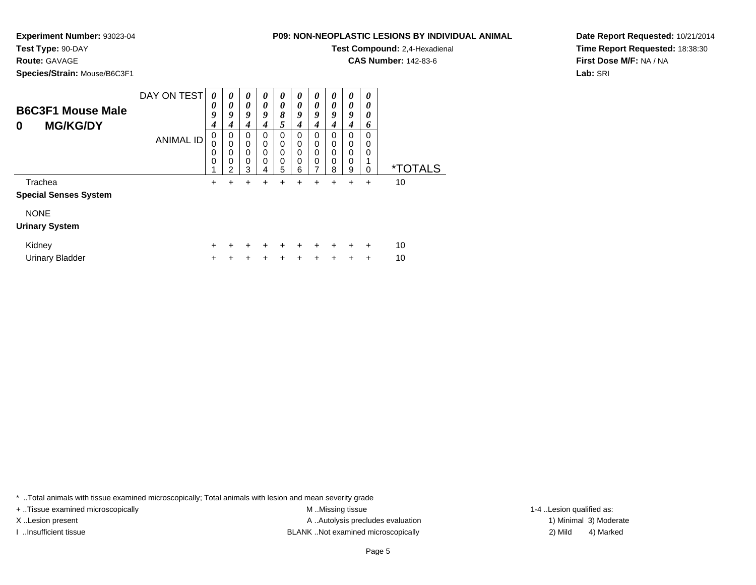**Experiment Number:** 93023-04

**Test Type:** 90-DAY

**Route:** GAVAGE

**Species/Strain:** Mouse/B6C3F1

| NON-NEOPLASTIC LESIONS BY INDIVIDUAL ANIMAL |
|---------------------------------------------|
|---------------------------------------------|

**Test Compound:** 2,4-Hexadienal

**CAS Number:** 142-83-6

**Date Report Requested:** 10/21/2014**Time Report Requested:** 18:38:30**First Dose M/F:** NA / NA**Lab:** SRI

| <b>B6C3F1 Mouse Male</b><br><b>MG/KG/DY</b><br>0 | DAY ON TEST      | 0<br>0<br>9<br>4 | 0<br>0<br>9<br>4      | 0<br>0<br>9<br>4                    | 0<br>0<br>9<br>4      | $\boldsymbol{\theta}$<br>0<br>8<br>5       | 0<br>$\boldsymbol{\theta}$<br>9<br>4 | 0<br>$\boldsymbol{\theta}$<br>9<br>4 | $\boldsymbol{\theta}$<br>0<br>9<br>4 | $\boldsymbol{\theta}$<br>$\boldsymbol{\theta}$<br>9<br>4 | 0<br>0<br>0<br>6               |                       |
|--------------------------------------------------|------------------|------------------|-----------------------|-------------------------------------|-----------------------|--------------------------------------------|--------------------------------------|--------------------------------------|--------------------------------------|----------------------------------------------------------|--------------------------------|-----------------------|
|                                                  | <b>ANIMAL ID</b> | 0<br>0<br>0<br>0 | 0<br>0<br>0<br>0<br>2 | $\Omega$<br>$\Omega$<br>0<br>0<br>3 | 0<br>0<br>0<br>0<br>4 | $\Omega$<br>$\Omega$<br>$\Omega$<br>0<br>5 | 0<br>0<br>$\mathbf 0$<br>0<br>6      | $\Omega$<br>0<br>$\Omega$<br>0       | 0<br>0<br>0<br>0<br>8                | $\Omega$<br>$\Omega$<br>$\Omega$<br>0<br>9               | $\Omega$<br>0<br>0<br>$\Omega$ | <i><b>*TOTALS</b></i> |
| Trachea<br><b>Special Senses System</b>          |                  | ٠                | +                     | ٠                                   | ٠                     | ٠                                          | ٠                                    | +                                    | ٠                                    | $\ddot{}$                                                | $\ddot{}$                      | 10                    |
| <b>NONE</b><br><b>Urinary System</b>             |                  |                  |                       |                                     |                       |                                            |                                      |                                      |                                      |                                                          |                                |                       |
| Kidney<br><b>Urinary Bladder</b>                 |                  | +                |                       |                                     |                       |                                            |                                      |                                      |                                      |                                                          | $\ddot{}$<br>$\div$            | 10<br>10              |

\* ..Total animals with tissue examined microscopically; Total animals with lesion and mean severity grade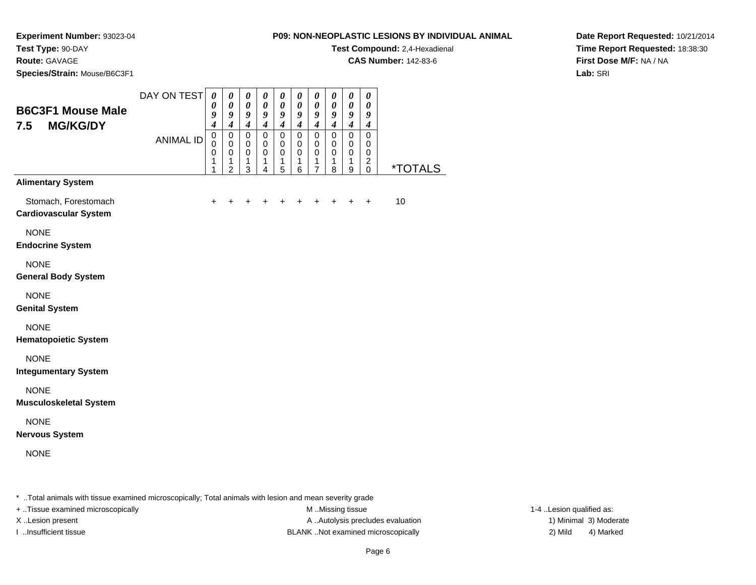**Test Compound:** 2,4-Hexadienal

**CAS Number:** 142-83-6

**Date Report Requested:** 10/21/2014**Time Report Requested:** 18:38:30**First Dose M/F:** NA / NA**Lab:** SRI

**Experiment Number:** 93023-04**Test Type:** 90-DAY**Route:** GAVAGE**Species/Strain:** Mouse/B6C3F1

| opcores/otium. Modsc/Doosi                           |                  |                                                     |                                                               |                                                                  |                                                                  |                                                     |                                                                                                   |                                                                         |                                                                                        |                                                     |                                                                         |                       |
|------------------------------------------------------|------------------|-----------------------------------------------------|---------------------------------------------------------------|------------------------------------------------------------------|------------------------------------------------------------------|-----------------------------------------------------|---------------------------------------------------------------------------------------------------|-------------------------------------------------------------------------|----------------------------------------------------------------------------------------|-----------------------------------------------------|-------------------------------------------------------------------------|-----------------------|
| <b>B6C3F1 Mouse Male</b><br>7.5<br><b>MG/KG/DY</b>   | DAY ON TEST      | $\boldsymbol{\theta}$<br>0<br>9<br>$\boldsymbol{4}$ | $\pmb{\theta}$<br>$\pmb{\theta}$<br>9<br>$\boldsymbol{4}$     | $\pmb{\theta}$<br>$\boldsymbol{\theta}$<br>9<br>$\boldsymbol{4}$ | $\pmb{\theta}$<br>$\boldsymbol{\theta}$<br>9<br>$\boldsymbol{4}$ | $\boldsymbol{\theta}$<br>0<br>9<br>$\boldsymbol{4}$ | $\boldsymbol{\theta}$<br>$\boldsymbol{\theta}$<br>$\boldsymbol{g}$<br>$\overline{\boldsymbol{4}}$ | $\boldsymbol{\theta}$<br>$\boldsymbol{\theta}$<br>9<br>$\boldsymbol{4}$ | $\boldsymbol{\theta}$<br>$\boldsymbol{\theta}$<br>$\boldsymbol{g}$<br>$\boldsymbol{4}$ | $\boldsymbol{\theta}$<br>0<br>9<br>$\boldsymbol{4}$ | $\boldsymbol{\theta}$<br>$\boldsymbol{\theta}$<br>9<br>$\boldsymbol{4}$ |                       |
|                                                      | <b>ANIMAL ID</b> | $\mathbf 0$<br>$\pmb{0}$<br>$\mathbf 0$<br>1<br>1   | $\pmb{0}$<br>0<br>$\pmb{0}$<br>$\mathbf{1}$<br>$\overline{2}$ | $\pmb{0}$<br>0<br>$\mathbf 0$<br>1<br>3                          | $\pmb{0}$<br>$\mathbf 0$<br>$\pmb{0}$<br>1<br>4                  | $\pmb{0}$<br>0<br>0<br>1<br>5                       | $\mathbf 0$<br>$\mathbf 0$<br>$\mathbf 0$<br>1<br>6                                               | $\mathbf 0$<br>$\mathbf 0$<br>$\mathbf 0$<br>1<br>$\overline{7}$        | $\mathbf 0$<br>0<br>$\mathbf 0$<br>1<br>8                                              | $\pmb{0}$<br>0<br>$\mathbf 0$<br>1<br>9             | $\mathbf 0$<br>$\pmb{0}$<br>$\mathbf 0$<br>$\overline{c}$<br>$\pmb{0}$  | <i><b>*TOTALS</b></i> |
| <b>Alimentary System</b>                             |                  |                                                     |                                                               |                                                                  |                                                                  |                                                     |                                                                                                   |                                                                         |                                                                                        |                                                     |                                                                         |                       |
| Stomach, Forestomach<br><b>Cardiovascular System</b> |                  | $\ddot{}$                                           |                                                               |                                                                  |                                                                  |                                                     |                                                                                                   |                                                                         |                                                                                        |                                                     | $\ddot{}$                                                               | 10                    |
| <b>NONE</b><br><b>Endocrine System</b>               |                  |                                                     |                                                               |                                                                  |                                                                  |                                                     |                                                                                                   |                                                                         |                                                                                        |                                                     |                                                                         |                       |
| <b>NONE</b><br><b>General Body System</b>            |                  |                                                     |                                                               |                                                                  |                                                                  |                                                     |                                                                                                   |                                                                         |                                                                                        |                                                     |                                                                         |                       |
| <b>NONE</b><br><b>Genital System</b>                 |                  |                                                     |                                                               |                                                                  |                                                                  |                                                     |                                                                                                   |                                                                         |                                                                                        |                                                     |                                                                         |                       |
| <b>NONE</b><br><b>Hematopoietic System</b>           |                  |                                                     |                                                               |                                                                  |                                                                  |                                                     |                                                                                                   |                                                                         |                                                                                        |                                                     |                                                                         |                       |
| <b>NONE</b><br><b>Integumentary System</b>           |                  |                                                     |                                                               |                                                                  |                                                                  |                                                     |                                                                                                   |                                                                         |                                                                                        |                                                     |                                                                         |                       |
| <b>NONE</b><br><b>Musculoskeletal System</b>         |                  |                                                     |                                                               |                                                                  |                                                                  |                                                     |                                                                                                   |                                                                         |                                                                                        |                                                     |                                                                         |                       |
| <b>NONE</b><br><b>Nervous System</b>                 |                  |                                                     |                                                               |                                                                  |                                                                  |                                                     |                                                                                                   |                                                                         |                                                                                        |                                                     |                                                                         |                       |
| <b>NONE</b>                                          |                  |                                                     |                                                               |                                                                  |                                                                  |                                                     |                                                                                                   |                                                                         |                                                                                        |                                                     |                                                                         |                       |
|                                                      |                  |                                                     |                                                               |                                                                  |                                                                  |                                                     |                                                                                                   |                                                                         |                                                                                        |                                                     |                                                                         |                       |

\* ..Total animals with tissue examined microscopically; Total animals with lesion and mean severity grade

+ ..Tissue examined microscopically examined microscopically examined as:  $M$  ..Missing tissue 1-4 ..Lesion qualified as:

X..Lesion present **A ..Autolysis precludes evaluation** A ..Autolysis precludes evaluation 1) Minimal 3) Moderate I ..Insufficient tissue BLANK ..Not examined microscopically 2) Mild 4) Marked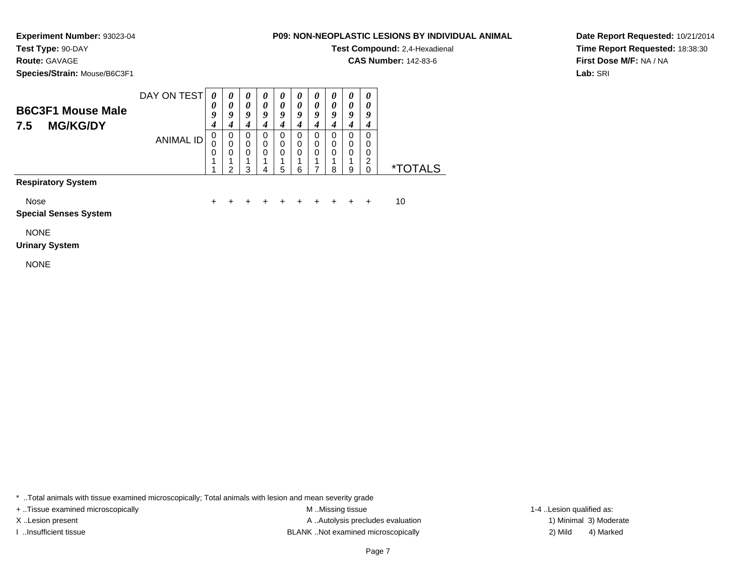**Test Type:** 90-DAY

# **Route:** GAVAGE

**Species/Strain:** Mouse/B6C3F1

## **P09: NON-NEOPLASTIC LESIONS BY INDIVIDUAL ANIMAL**

**Test Compound:** 2,4-Hexadienal

**CAS Number:** 142-83-6

**Date Report Requested:** 10/21/2014**Time Report Requested:** 18:38:30**First Dose M/F:** NA / NA**Lab:** SRI

|     | <b>B6C3F1 Mouse Male</b> | DAY ON TEST | U<br>9 | 0<br>O | 0<br>0<br>Q | a | U<br>Q | u | U<br>0<br>ч | U<br>U<br>ч | $\boldsymbol{\theta}$<br>0<br>Q | $\boldsymbol{\theta}$<br>0<br>9 |      |
|-----|--------------------------|-------------|--------|--------|-------------|---|--------|---|-------------|-------------|---------------------------------|---------------------------------|------|
| 7.5 | <b>MG/KG/DY</b>          |             |        |        |             |   |        |   |             |             |                                 |                                 |      |
|     |                          | ANIMAL ID   | U      | 0      | 0           |   | 0      |   | U           | O           | 0                               | 0                               |      |
|     |                          |             | U      | 0      | 0           | 0 | 0      | 0 | 0           | 0           | 0                               | 0                               |      |
|     |                          |             | 0      |        |             |   | 0      | Ω | 0           | 0           | 0                               | 0                               |      |
|     |                          |             |        |        |             |   |        |   |             |             |                                 | ົ<br>▃                          |      |
|     |                          |             |        | ົ      | າ           |   | 5      | 6 |             | 8           | 9                               | 0                               | ALS. |

**Respiratory System**

Nose

 $e$  + <sup>+</sup> <sup>+</sup> <sup>+</sup> <sup>+</sup> <sup>+</sup> <sup>+</sup> <sup>+</sup> <sup>+</sup> + 10

**Special Senses System**

NONE

## **Urinary System**

NONE

\* ..Total animals with tissue examined microscopically; Total animals with lesion and mean severity grade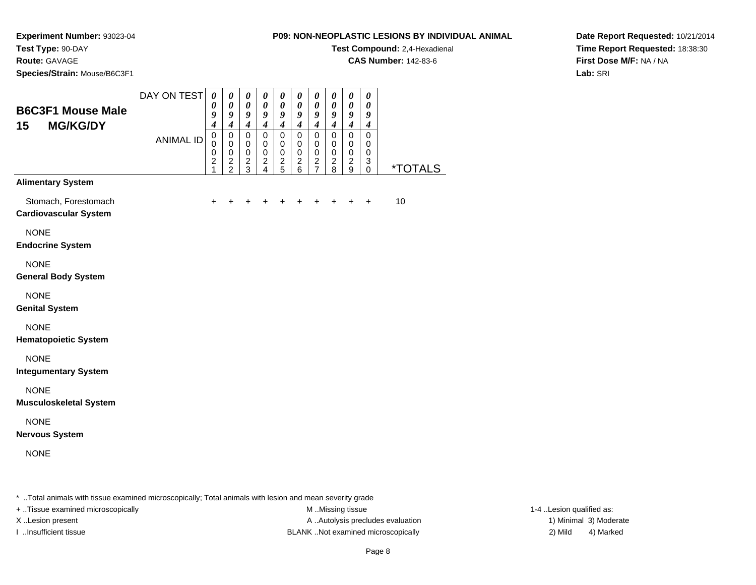**Test Compound:** 2,4-Hexadienal

**CAS Number:** 142-83-6

**Date Report Requested:** 10/21/2014**Time Report Requested:** 18:38:30**First Dose M/F:** NA / NA**Lab:** SRI

## **Experiment Number:** 93023-04**Test Type:** 90-DAY**Route:** GAVAGE**Species/Strain:** Mouse/B6C3F1

| 15<br><b>MG/KG/DY</b>                                |                  | $\boldsymbol{4}$                                         | $\boldsymbol{4}$                                         | 9<br>$\boldsymbol{4}$                             | $\pmb{\theta}$<br>9<br>$\boldsymbol{4}$        | $\pmb{\theta}$<br>9<br>$\boldsymbol{4}$        | $\boldsymbol{\theta}$<br>9<br>$\boldsymbol{4}$   | $\boldsymbol{\theta}$<br>9<br>$\boldsymbol{4}$ | $\boldsymbol{\theta}$<br>9<br>$\boldsymbol{4}$          | $\pmb{\theta}$<br>9<br>$\boldsymbol{4}$                         | $\boldsymbol{\theta}$<br>9<br>$\boldsymbol{4}$                       |                       |
|------------------------------------------------------|------------------|----------------------------------------------------------|----------------------------------------------------------|---------------------------------------------------|------------------------------------------------|------------------------------------------------|--------------------------------------------------|------------------------------------------------|---------------------------------------------------------|-----------------------------------------------------------------|----------------------------------------------------------------------|-----------------------|
|                                                      | <b>ANIMAL ID</b> | $\mathbf 0$<br>$\mathbf 0$<br>0<br>$\boldsymbol{2}$<br>1 | $\pmb{0}$<br>$\mathbf 0$<br>$\mathbf 0$<br>$\frac{2}{2}$ | $\pmb{0}$<br>0<br>$\overline{0}$<br>$\frac{2}{3}$ | $\pmb{0}$<br>0<br>$\mathbf 0$<br>$\frac{2}{4}$ | $\mathbf 0$<br>0<br>$\pmb{0}$<br>$\frac{2}{5}$ | $\mathsf 0$<br>0<br>$\mathbf 0$<br>$\frac{2}{6}$ | 0<br>$\mathbf 0$<br>$\pmb{0}$<br>$\frac{2}{7}$ | $\mathbf 0$<br>$\pmb{0}$<br>$\mathbf 0$<br>$_{\rm 8}^2$ | $\overline{0}$<br>$\mathbf 0$<br>$\mathsf 0$<br>$\sqrt{2}$<br>9 | $\mathbf 0$<br>$\mathbf 0$<br>$\pmb{0}$<br>$\sqrt{3}$<br>$\mathbf 0$ | <i><b>*TOTALS</b></i> |
| <b>Alimentary System</b>                             |                  |                                                          |                                                          |                                                   |                                                |                                                |                                                  |                                                |                                                         |                                                                 |                                                                      |                       |
| Stomach, Forestomach<br><b>Cardiovascular System</b> |                  | $\ddot{}$                                                | +                                                        |                                                   | +                                              | +                                              | +                                                |                                                |                                                         | $+$                                                             | $\ddot{}$                                                            | 10                    |
| <b>NONE</b><br><b>Endocrine System</b>               |                  |                                                          |                                                          |                                                   |                                                |                                                |                                                  |                                                |                                                         |                                                                 |                                                                      |                       |
| <b>NONE</b><br><b>General Body System</b>            |                  |                                                          |                                                          |                                                   |                                                |                                                |                                                  |                                                |                                                         |                                                                 |                                                                      |                       |
| <b>NONE</b><br><b>Genital System</b>                 |                  |                                                          |                                                          |                                                   |                                                |                                                |                                                  |                                                |                                                         |                                                                 |                                                                      |                       |
| <b>NONE</b><br><b>Hematopoietic System</b>           |                  |                                                          |                                                          |                                                   |                                                |                                                |                                                  |                                                |                                                         |                                                                 |                                                                      |                       |
| <b>NONE</b><br><b>Integumentary System</b>           |                  |                                                          |                                                          |                                                   |                                                |                                                |                                                  |                                                |                                                         |                                                                 |                                                                      |                       |
| <b>NONE</b><br><b>Musculoskeletal System</b>         |                  |                                                          |                                                          |                                                   |                                                |                                                |                                                  |                                                |                                                         |                                                                 |                                                                      |                       |
| <b>NONE</b><br><b>Nervous System</b>                 |                  |                                                          |                                                          |                                                   |                                                |                                                |                                                  |                                                |                                                         |                                                                 |                                                                      |                       |
| <b>NONE</b>                                          |                  |                                                          |                                                          |                                                   |                                                |                                                |                                                  |                                                |                                                         |                                                                 |                                                                      |                       |

\* ..Total animals with tissue examined microscopically; Total animals with lesion and mean severity grade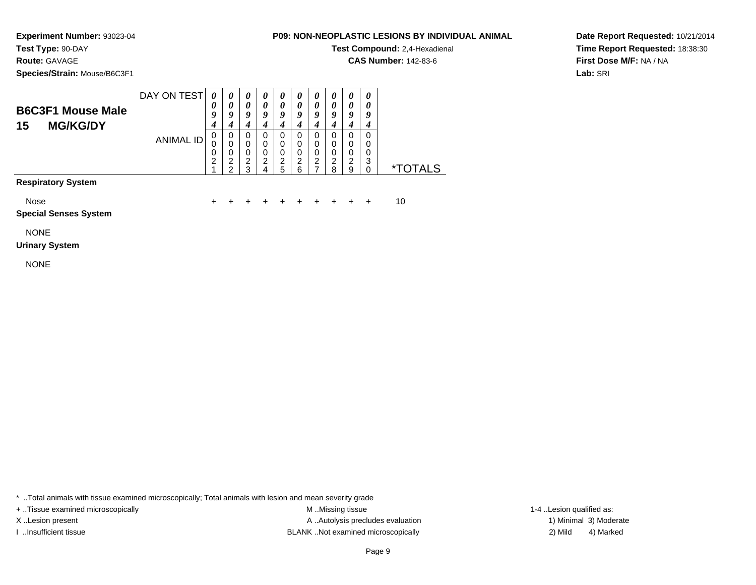**Test Type:** 90-DAY

# **Route:** GAVAGE

**Species/Strain:** Mouse/B6C3F1

## **P09: NON-NEOPLASTIC LESIONS BY INDIVIDUAL ANIMAL**

**Test Compound:** 2,4-Hexadienal

**CAS Number:** 142-83-6

**Date Report Requested:** 10/21/2014**Time Report Requested:** 18:38:30**First Dose M/F:** NA / NA**Lab:** SRI

| <b>B6C3F1 Mouse Male</b> | DAY ON TEST | 0<br>0 |        | $\boldsymbol{\theta}$<br>Q | u | $\boldsymbol{\theta}$<br>a | u      | $\boldsymbol{\theta}$<br>0<br>ч | U<br>0<br>u | 0<br>0<br>9<br>4 | 0<br>0<br>9 |            |
|--------------------------|-------------|--------|--------|----------------------------|---|----------------------------|--------|---------------------------------|-------------|------------------|-------------|------------|
| <b>MG/KG/DY</b><br>15    | ANIMAL ID   | U<br>0 | 0<br>U | O<br>0<br>0                | O | 0<br>0<br>0                | 0<br>0 | 0<br>0<br>0                     | O<br>0<br>0 | 0<br>0<br>0      | 0<br>0<br>0 |            |
|                          |             | ◠      | ◠<br>ົ | ⌒<br>ົ                     | ີ | 2<br>5                     | ⌒      | 2                               | ◠<br>8      | 2<br>9           | 3           | ∗⊤<br>AI S |

## **Respiratory System**

Nose

 $e$  + <sup>+</sup> <sup>+</sup> <sup>+</sup> <sup>+</sup> <sup>+</sup> <sup>+</sup> <sup>+</sup> <sup>+</sup> + 10

**Special Senses System**

NONE

## **Urinary System**

NONE

\* ..Total animals with tissue examined microscopically; Total animals with lesion and mean severity grade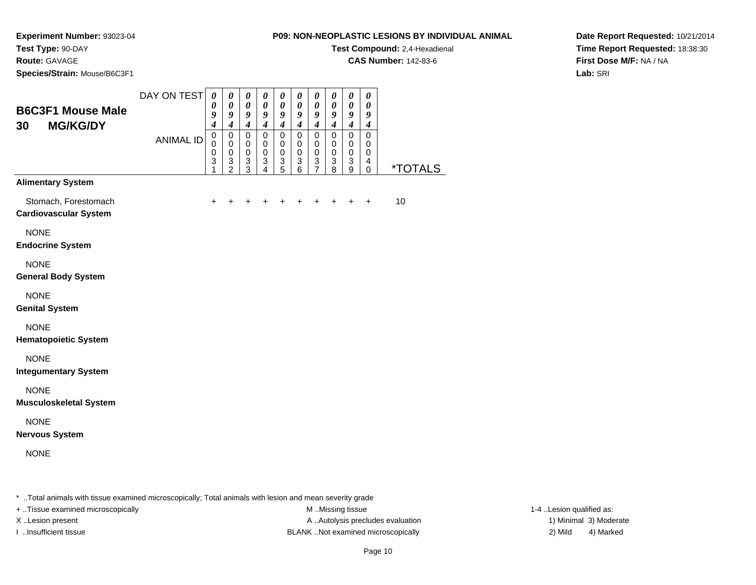**Test Compound:** 2,4-Hexadienal

**CAS Number:** 142-83-6

**Date Report Requested:** 10/21/2014**Time Report Requested:** 18:38:30**First Dose M/F:** NA / NA**Lab:** SRI

**Experiment Number:** 93023-04**Test Type:** 90-DAY**Route:** GAVAGE**Species/Strain:** Mouse/B6C3F1

| <b>B6C3F1 Mouse Male</b><br><b>MG/KG/DY</b><br>30                                | DAY ON TEST<br><b>ANIMAL ID</b> | $\boldsymbol{\theta}$<br>0<br>9<br>$\boldsymbol{4}$<br>$\mathsf 0$<br>$\Omega$<br>0<br>$\ensuremath{\mathsf{3}}$<br>1 | $\pmb{\theta}$<br>$\boldsymbol{\theta}$<br>9<br>$\overline{\boldsymbol{4}}$<br>$\pmb{0}$<br>$\mathbf 0$<br>$\pmb{0}$<br>$\frac{3}{2}$ | $\boldsymbol{\theta}$<br>$\boldsymbol{\theta}$<br>9<br>$\boldsymbol{4}$<br>$\mathbf 0$<br>$\mathbf 0$<br>$\pmb{0}$<br>$\ensuremath{\mathsf{3}}$<br>$\overline{3}$ | 0<br>$\boldsymbol{\theta}$<br>9<br>$\boldsymbol{4}$<br>0<br>$\mathbf 0$<br>$\mathbf 0$<br>$\ensuremath{\mathsf{3}}$<br>$\overline{\mathbf{4}}$ | 0<br>0<br>9<br>$\boldsymbol{4}$<br>0<br>$\Omega$<br>$\mathbf 0$<br>3<br>5 | $\pmb{\theta}$<br>$\boldsymbol{\theta}$<br>9<br>$\overline{\boldsymbol{4}}$<br>$\mathbf 0$<br>0<br>$\mathbf 0$<br>$\,$ 3 $\,$<br>6 | $\boldsymbol{\theta}$<br>$\boldsymbol{\theta}$<br>9<br>$\overline{\boldsymbol{4}}$<br>$\mathsf 0$<br>$\mathbf 0$<br>$\mathbf 0$<br>$\ensuremath{\mathsf{3}}$<br>$\overline{7}$ | 0<br>0<br>9<br>$\boldsymbol{4}$<br>$\mathsf 0$<br>$\mathbf 0$<br>$\mathbf 0$<br>$\ensuremath{\mathsf{3}}$<br>8 | $\boldsymbol{\theta}$<br>$\boldsymbol{\theta}$<br>$\boldsymbol{g}$<br>$\overline{\mathbf{4}}$<br>$\mathbf 0$<br>$\mathbf 0$<br>$\mathbf 0$<br>$\sqrt{3}$<br>9 | $\pmb{\theta}$<br>$\boldsymbol{\theta}$<br>9<br>$\boldsymbol{4}$<br>$\mathbf 0$<br>$\mathbf 0$<br>$\mathbf 0$<br>$\overline{4}$<br>$\mathbf 0$ | <i><b>*TOTALS</b></i> |
|----------------------------------------------------------------------------------|---------------------------------|-----------------------------------------------------------------------------------------------------------------------|---------------------------------------------------------------------------------------------------------------------------------------|-------------------------------------------------------------------------------------------------------------------------------------------------------------------|------------------------------------------------------------------------------------------------------------------------------------------------|---------------------------------------------------------------------------|------------------------------------------------------------------------------------------------------------------------------------|--------------------------------------------------------------------------------------------------------------------------------------------------------------------------------|----------------------------------------------------------------------------------------------------------------|---------------------------------------------------------------------------------------------------------------------------------------------------------------|------------------------------------------------------------------------------------------------------------------------------------------------|-----------------------|
| <b>Alimentary System</b><br>Stomach, Forestomach<br><b>Cardiovascular System</b> |                                 | $\ddot{}$                                                                                                             | $\ddot{}$                                                                                                                             | $\ddot{}$                                                                                                                                                         | $\ddot{}$                                                                                                                                      | $\ddot{}$                                                                 | $\ddot{}$                                                                                                                          | $\ddot{}$                                                                                                                                                                      | $\ddot{}$                                                                                                      | $+$                                                                                                                                                           | $\ddot{}$                                                                                                                                      | 10                    |
| <b>NONE</b><br><b>Endocrine System</b>                                           |                                 |                                                                                                                       |                                                                                                                                       |                                                                                                                                                                   |                                                                                                                                                |                                                                           |                                                                                                                                    |                                                                                                                                                                                |                                                                                                                |                                                                                                                                                               |                                                                                                                                                |                       |
| <b>NONE</b><br><b>General Body System</b>                                        |                                 |                                                                                                                       |                                                                                                                                       |                                                                                                                                                                   |                                                                                                                                                |                                                                           |                                                                                                                                    |                                                                                                                                                                                |                                                                                                                |                                                                                                                                                               |                                                                                                                                                |                       |
| <b>NONE</b><br><b>Genital System</b>                                             |                                 |                                                                                                                       |                                                                                                                                       |                                                                                                                                                                   |                                                                                                                                                |                                                                           |                                                                                                                                    |                                                                                                                                                                                |                                                                                                                |                                                                                                                                                               |                                                                                                                                                |                       |
| <b>NONE</b><br><b>Hematopoietic System</b>                                       |                                 |                                                                                                                       |                                                                                                                                       |                                                                                                                                                                   |                                                                                                                                                |                                                                           |                                                                                                                                    |                                                                                                                                                                                |                                                                                                                |                                                                                                                                                               |                                                                                                                                                |                       |
| <b>NONE</b><br><b>Integumentary System</b>                                       |                                 |                                                                                                                       |                                                                                                                                       |                                                                                                                                                                   |                                                                                                                                                |                                                                           |                                                                                                                                    |                                                                                                                                                                                |                                                                                                                |                                                                                                                                                               |                                                                                                                                                |                       |
| <b>NONE</b><br><b>Musculoskeletal System</b>                                     |                                 |                                                                                                                       |                                                                                                                                       |                                                                                                                                                                   |                                                                                                                                                |                                                                           |                                                                                                                                    |                                                                                                                                                                                |                                                                                                                |                                                                                                                                                               |                                                                                                                                                |                       |
| <b>NONE</b><br><b>Nervous System</b>                                             |                                 |                                                                                                                       |                                                                                                                                       |                                                                                                                                                                   |                                                                                                                                                |                                                                           |                                                                                                                                    |                                                                                                                                                                                |                                                                                                                |                                                                                                                                                               |                                                                                                                                                |                       |
| <b>NONE</b>                                                                      |                                 |                                                                                                                       |                                                                                                                                       |                                                                                                                                                                   |                                                                                                                                                |                                                                           |                                                                                                                                    |                                                                                                                                                                                |                                                                                                                |                                                                                                                                                               |                                                                                                                                                |                       |

\* ..Total animals with tissue examined microscopically; Total animals with lesion and mean severity grade

+ ..Tissue examined microscopically examined microscopically examined as:  $M$  ..Missing tissue 1-4 ..Lesion qualified as:

X..Lesion present **A ..Autolysis precludes evaluation** A ..Autolysis precludes evaluation 1) Minimal 3) Moderate I ..Insufficient tissue BLANK ..Not examined microscopically 2) Mild 4) Marked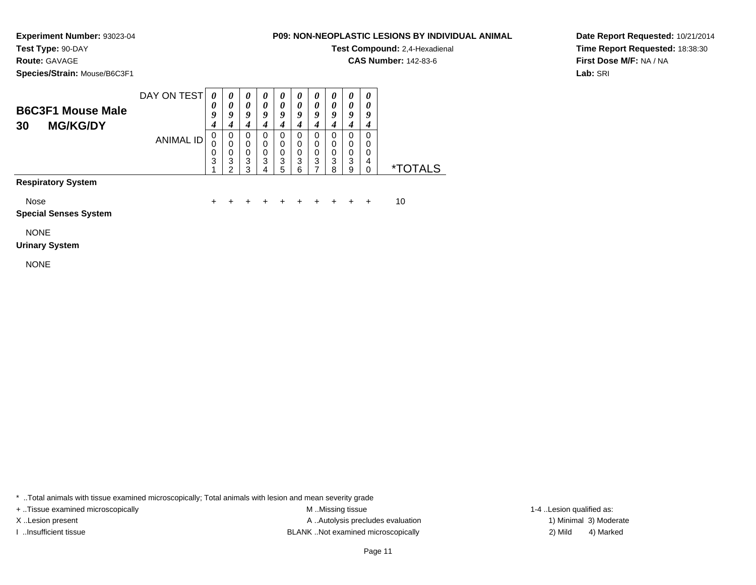**Test Type:** 90-DAY

**Route:** GAVAGE

**Species/Strain:** Mouse/B6C3F1

## **P09: NON-NEOPLASTIC LESIONS BY INDIVIDUAL ANIMAL**

**Test Compound:** 2,4-Hexadienal

**CAS Number:** 142-83-6

**Date Report Requested:** 10/21/2014**Time Report Requested:** 18:38:30**First Dose M/F:** NA / NA**Lab:** SRI

| <b>B6C3F1 Mouse Male</b><br>30 | DAY ON TEST | 0<br>U      | $\boldsymbol{\theta}$<br>o | $\boldsymbol{\theta}$<br>0<br>9 | U | U<br>0<br>O |   | O           | Q      | 0<br>q      | q |
|--------------------------------|-------------|-------------|----------------------------|---------------------------------|---|-------------|---|-------------|--------|-------------|---|
| <b>MG/KG/DY</b>                | ANIMAL ID   | U<br>U<br>0 | O<br>0                     | 0<br>0<br>0                     | 0 | υ<br>0<br>0 |   | U<br>0<br>0 |        | U<br>0<br>0 | 0 |
|                                |             | 3           | 3                          | 3<br>ว                          | 3 | 3<br>5      | 3 | 3           | 3<br>8 | 3<br>9      | 4 |

**Respiratory System**

Nose

 $e$  + <sup>+</sup> <sup>+</sup> <sup>+</sup> <sup>+</sup> <sup>+</sup> <sup>+</sup> <sup>+</sup> <sup>+</sup> + 10

**Special Senses System**

NONE

#### **Urinary System**

NONE

\* ..Total animals with tissue examined microscopically; Total animals with lesion and mean severity grade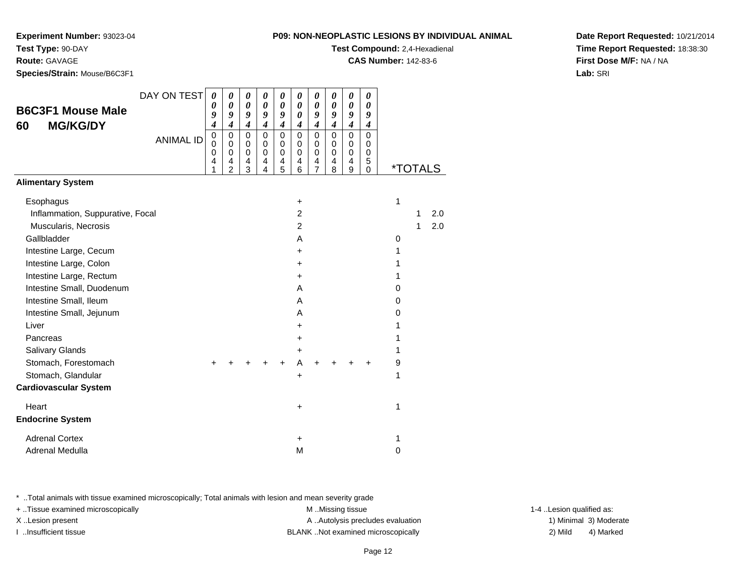**Experiment Number:** 93023-04

**Test Type:** 90-DAY

**Route:** GAVAGE

**Species/Strain:** Mouse/B6C3F1

|                                      | : NON-NEOPLASTIC LESIONS BY INDIVIDUAL ANIMAL |
|--------------------------------------|-----------------------------------------------|
| <b>Test Compound: 2.4-Hexadienal</b> |                                               |

**CAS Number:** 142-83-6

**Date Report Requested:** 10/21/2014**Time Report Requested:** 18:38:30**First Dose M/F:** NA / NA**Lab:** SRI

| <b>B6C3F1 Mouse Male</b><br><b>MG/KG/DY</b><br>60                                                                                                                                                                                                                           | DAY ON TEST      | $\boldsymbol{\theta}$<br>0<br>9<br>4 | 0<br>0<br>9<br>$\overline{\boldsymbol{4}}$                       | 0<br>$\boldsymbol{\theta}$<br>9<br>$\boldsymbol{4}$ | 0<br>$\boldsymbol{\theta}$<br>9<br>$\boldsymbol{4}$ | 0<br>0<br>9<br>$\boldsymbol{4}$ | 0<br>0<br>$\boldsymbol{\theta}$<br>$\boldsymbol{4}$                                                                | 0<br>0<br>9<br>$\boldsymbol{4}$        | 0<br>0<br>9<br>$\boldsymbol{4}$         | $\boldsymbol{\theta}$<br>0<br>9<br>$\boldsymbol{4}$ | 0<br>0<br>9<br>$\boldsymbol{4}$     |                                                |         |            |
|-----------------------------------------------------------------------------------------------------------------------------------------------------------------------------------------------------------------------------------------------------------------------------|------------------|--------------------------------------|------------------------------------------------------------------|-----------------------------------------------------|-----------------------------------------------------|---------------------------------|--------------------------------------------------------------------------------------------------------------------|----------------------------------------|-----------------------------------------|-----------------------------------------------------|-------------------------------------|------------------------------------------------|---------|------------|
|                                                                                                                                                                                                                                                                             | <b>ANIMAL ID</b> | $\mathbf 0$<br>0<br>0<br>4<br>1      | $\mathbf 0$<br>$\mathbf 0$<br>$\mathbf 0$<br>4<br>$\overline{2}$ | $\mathbf 0$<br>0<br>$\pmb{0}$<br>4<br>3             | $\mathbf 0$<br>$\pmb{0}$<br>$\mathbf 0$<br>4<br>4   | $\mathbf 0$<br>0<br>0<br>4<br>5 | $\mathbf 0$<br>$\mathbf 0$<br>$\pmb{0}$<br>4<br>6                                                                  | $\mathsf 0$<br>0<br>0<br>$\frac{4}{7}$ | $\mathbf 0$<br>0<br>$\pmb{0}$<br>4<br>8 | $\mathbf 0$<br>0<br>0<br>4<br>9                     | $\Omega$<br>0<br>0<br>5<br>$\Omega$ |                                                | *TOTALS |            |
| <b>Alimentary System</b>                                                                                                                                                                                                                                                    |                  |                                      |                                                                  |                                                     |                                                     |                                 |                                                                                                                    |                                        |                                         |                                                     |                                     |                                                |         |            |
| Esophagus<br>Inflammation, Suppurative, Focal<br>Muscularis, Necrosis<br>Gallbladder<br>Intestine Large, Cecum<br>Intestine Large, Colon<br>Intestine Large, Rectum<br>Intestine Small, Duodenum<br>Intestine Small, Ileum<br>Intestine Small, Jejunum<br>Liver<br>Pancreas |                  |                                      |                                                                  |                                                     |                                                     |                                 | $\ddot{}$<br>$\overline{c}$<br>$\overline{c}$<br>A<br>$+$<br>$+$<br>$\ddot{}$<br>A<br>A<br>A<br>$\pm$<br>$\ddot{}$ |                                        |                                         |                                                     |                                     | 1<br>0<br>1<br>1<br>1<br>0<br>0<br>0<br>1<br>1 | 1<br>1  | 2.0<br>2.0 |
| Salivary Glands<br>Stomach, Forestomach<br>Stomach, Glandular<br><b>Cardiovascular System</b>                                                                                                                                                                               |                  | ÷                                    |                                                                  |                                                     |                                                     | +                               | $\ddot{}$<br>A<br>$\ddot{}$                                                                                        | ÷                                      |                                         |                                                     | +                                   | 1<br>9<br>1                                    |         |            |
| Heart                                                                                                                                                                                                                                                                       |                  |                                      |                                                                  |                                                     |                                                     |                                 | $\ddot{}$                                                                                                          |                                        |                                         |                                                     |                                     | 1                                              |         |            |
| <b>Endocrine System</b>                                                                                                                                                                                                                                                     |                  |                                      |                                                                  |                                                     |                                                     |                                 |                                                                                                                    |                                        |                                         |                                                     |                                     |                                                |         |            |
| <b>Adrenal Cortex</b>                                                                                                                                                                                                                                                       |                  |                                      |                                                                  |                                                     |                                                     |                                 | $\ddot{}$                                                                                                          |                                        |                                         |                                                     |                                     | 1                                              |         |            |
| Adrenal Medulla                                                                                                                                                                                                                                                             |                  |                                      |                                                                  |                                                     |                                                     |                                 | M                                                                                                                  |                                        |                                         |                                                     |                                     | 0                                              |         |            |

\* ..Total animals with tissue examined microscopically; Total animals with lesion and mean severity grade

M ..Missing tissue + ..Tissue examined microscopically examined microscopically examined as:  $M$  ..Missing tissue 1-4 ..Lesion qualified as: X..Lesion present **A ..Autolysis precludes evaluation** A ..Autolysis precludes evaluation 1) Minimal 3) Moderate

I ..Insufficient tissue BLANK ..Not examined microscopically 2) Mild 4) Marked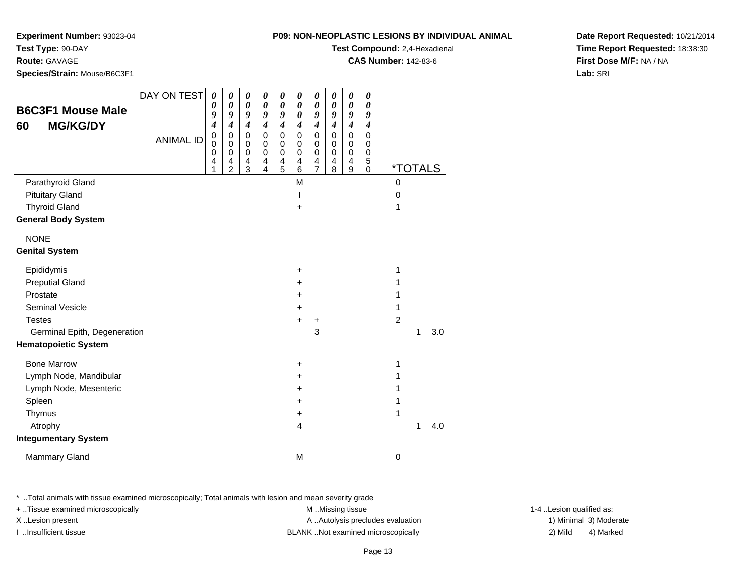**Experiment Number:** 93023-04

**Test Type:** 90-DAY

**Route:** GAVAGE

**Species/Strain:** Mouse/B6C3F1

**B6C3F1 Mouse Male60 MG/KG/DY**

| <b>mber: 93023-04</b><br><b>JAY</b><br>: Mouse/B6C3F1 |             |          |               |        |               |        |           |        |        |        |               | P09: NON-NEOPLASTIC LESIONS BY INDIVIDUAL ANIMAL<br>Test Compound: 2,4-Hexadienal<br><b>CAS Number: 142-83-6</b> |
|-------------------------------------------------------|-------------|----------|---------------|--------|---------------|--------|-----------|--------|--------|--------|---------------|------------------------------------------------------------------------------------------------------------------|
|                                                       | DAY ON TEST | $\theta$ | 0             | 0      | 0             | 0      | 0         | 0      | 0      |        | 0             |                                                                                                                  |
| <b>puse Male</b>                                      |             | 0<br>9   | $\theta$<br>9 | 0<br>9 | 0<br>9        | 0<br>9 | 0         | 0<br>9 | 0<br>9 | 0<br>9 | 0<br>9        |                                                                                                                  |
| <b>G/DY</b>                                           |             | 4        |               | 4      |               | 4      |           | 4      |        | 4      | 4             |                                                                                                                  |
|                                                       | ANIMAL ID   | 0<br>0   | 0<br>0        | 0<br>0 | $\Omega$<br>0 | 0<br>0 | 0<br>0    | 0<br>0 | 0<br>0 | 0<br>0 | $\Omega$<br>0 |                                                                                                                  |
|                                                       |             | 0<br>4   | 0<br>4        | 0<br>4 | 0<br>4        | 0<br>4 | 0<br>4    | 0<br>4 | 0<br>4 | 0<br>4 | 0<br>5        |                                                                                                                  |
|                                                       |             |          | 2             | 3      | 4             | 5      | 6         |        | 8      | 9      | 0             | <i><b>*TOTALS</b></i>                                                                                            |
| <b>Gland</b>                                          |             |          |               |        |               |        | M         |        |        |        |               | 0                                                                                                                |
| ١d                                                    |             |          |               |        |               |        |           |        |        |        |               | 0                                                                                                                |
| d                                                     |             |          |               |        |               |        | $\ddot{}$ |        |        |        |               |                                                                                                                  |
| <b>System</b>                                         |             |          |               |        |               |        |           |        |        |        |               |                                                                                                                  |
|                                                       |             |          |               |        |               |        |           |        |        |        |               |                                                                                                                  |

NONE

Parathyroid Gland

**General Body System**

Pituitary Gland

Thyroid Gland

#### **Genital System**

| Epididymis                   | $\ddot{}$ |          |
|------------------------------|-----------|----------|
| <b>Preputial Gland</b>       | +         |          |
| Prostate                     | +         |          |
| <b>Seminal Vesicle</b>       | +         |          |
| <b>Testes</b>                | $+$<br>٠  | 2        |
| Germinal Epith, Degeneration | 3         | 3.0<br>1 |
| <b>Hematopoietic System</b>  |           |          |
| <b>Bone Marrow</b>           | +         |          |
| Lymph Node, Mandibular       | $\ddot{}$ |          |
| Lymph Node, Mesenteric       | $\ddot{}$ |          |
| Spleen                       | +         |          |
| Thymus                       | ٠         |          |
| Atrophy                      | 4         | 4.0<br>1 |
| <b>Integumentary System</b>  |           |          |
| Mammary Gland                | M         | 0        |
|                              |           |          |

\* ..Total animals with tissue examined microscopically; Total animals with lesion and mean severity grade

+ ..Tissue examined microscopically examined microscopically examined as:  $M$  ..Missing tissue 1-4 ..Lesion qualified as: X..Lesion present **A ..Autolysis precludes evaluation** A ..Autolysis precludes evaluation 1) Minimal 3) Moderate I ..Insufficient tissue BLANK ..Not examined microscopically 2) Mild 4) Marked

**Date Report Requested:** 10/21/2014**Time Report Requested:** 18:38:30**First Dose M/F:** NA / NA**Lab:** SRI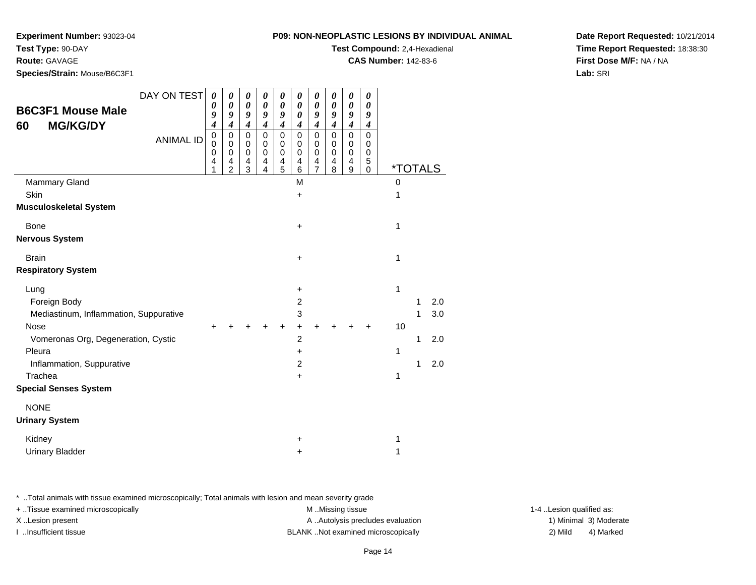## **P09: NON-NEOPLASTIC LESIONS BY INDIVIDUAL ANIMALTest Compound:** 2,4-Hexadienal

**CAS Number:** 142-83-6

**Experiment Number:** 93023-04

**Test Type:** 90-DAY

## **Route:** GAVAGE

**Species/Strain:** Mouse/B6C3F1

| <b>B6C3F1 Mouse Male</b><br><b>MG/KG/DY</b><br>60 | DAY ON TEST      | 0<br>0<br>9<br>$\boldsymbol{4}$ | 0<br>0<br>9<br>$\boldsymbol{4}$                     | 0<br>$\boldsymbol{\theta}$<br>9<br>$\boldsymbol{4}$           | 0<br>0<br>9<br>$\boldsymbol{4}$ | 0<br>0<br>9<br>$\boldsymbol{4}$ | 0<br>$\boldsymbol{\theta}$<br>$\boldsymbol{\theta}$<br>4 | 0<br>$\boldsymbol{\theta}$<br>9<br>$\boldsymbol{4}$ | 0<br>0<br>9<br>$\boldsymbol{4}$ | 0<br>0<br>9<br>4                                      | $\boldsymbol{\theta}$<br>0<br>9<br>4      |                       |   |     |
|---------------------------------------------------|------------------|---------------------------------|-----------------------------------------------------|---------------------------------------------------------------|---------------------------------|---------------------------------|----------------------------------------------------------|-----------------------------------------------------|---------------------------------|-------------------------------------------------------|-------------------------------------------|-----------------------|---|-----|
|                                                   | <b>ANIMAL ID</b> | 0<br>$\Omega$<br>0<br>4<br>1    | $\mathbf 0$<br>$\Omega$<br>0<br>4<br>$\overline{2}$ | $\mathsf 0$<br>0<br>$\pmb{0}$<br>$\overline{\mathbf{4}}$<br>3 | $\mathbf 0$<br>0<br>0<br>4<br>4 | 0<br>0<br>0<br>4<br>5           | $\mathbf 0$<br>$\Omega$<br>$\Omega$<br>4<br>6            | $\mathbf 0$<br>0<br>0<br>4<br>$\overline{7}$        | $\mathbf 0$<br>0<br>0<br>4<br>8 | $\mathbf 0$<br>0<br>0<br>$\overline{\mathbf{4}}$<br>9 | $\mathbf 0$<br>0<br>0<br>5<br>$\mathbf 0$ | <i><b>*TOTALS</b></i> |   |     |
| <b>Mammary Gland</b>                              |                  |                                 |                                                     |                                                               |                                 |                                 | M                                                        |                                                     |                                 |                                                       |                                           | $\Omega$              |   |     |
| Skin                                              |                  |                                 |                                                     |                                                               |                                 |                                 | +                                                        |                                                     |                                 |                                                       |                                           | 1                     |   |     |
| <b>Musculoskeletal System</b>                     |                  |                                 |                                                     |                                                               |                                 |                                 |                                                          |                                                     |                                 |                                                       |                                           |                       |   |     |
| <b>Bone</b>                                       |                  |                                 |                                                     |                                                               |                                 |                                 | +                                                        |                                                     |                                 |                                                       |                                           | 1                     |   |     |
| <b>Nervous System</b>                             |                  |                                 |                                                     |                                                               |                                 |                                 |                                                          |                                                     |                                 |                                                       |                                           |                       |   |     |
| <b>Brain</b>                                      |                  |                                 |                                                     |                                                               |                                 |                                 | +                                                        |                                                     |                                 |                                                       |                                           | 1                     |   |     |
| <b>Respiratory System</b>                         |                  |                                 |                                                     |                                                               |                                 |                                 |                                                          |                                                     |                                 |                                                       |                                           |                       |   |     |
| Lung                                              |                  |                                 |                                                     |                                                               |                                 |                                 | $\ddot{}$                                                |                                                     |                                 |                                                       |                                           | 1                     |   |     |
| Foreign Body                                      |                  |                                 |                                                     |                                                               |                                 |                                 | $\overline{c}$                                           |                                                     |                                 |                                                       |                                           |                       | 1 | 2.0 |
| Mediastinum, Inflammation, Suppurative            |                  |                                 |                                                     |                                                               |                                 |                                 | 3                                                        |                                                     |                                 |                                                       |                                           |                       | 1 | 3.0 |
| <b>Nose</b>                                       |                  |                                 |                                                     |                                                               |                                 |                                 | +                                                        |                                                     |                                 |                                                       |                                           | 10                    |   |     |
| Vomeronas Org, Degeneration, Cystic               |                  |                                 |                                                     |                                                               |                                 |                                 | $\overline{c}$                                           |                                                     |                                 |                                                       |                                           |                       | 1 | 2.0 |
| Pleura                                            |                  |                                 |                                                     |                                                               |                                 |                                 | +                                                        |                                                     |                                 |                                                       |                                           | 1                     |   |     |
| Inflammation, Suppurative                         |                  |                                 |                                                     |                                                               |                                 |                                 | 2                                                        |                                                     |                                 |                                                       |                                           |                       | 1 | 2.0 |
| Trachea                                           |                  |                                 |                                                     |                                                               |                                 |                                 | +                                                        |                                                     |                                 |                                                       |                                           | 1                     |   |     |
| <b>Special Senses System</b>                      |                  |                                 |                                                     |                                                               |                                 |                                 |                                                          |                                                     |                                 |                                                       |                                           |                       |   |     |
| <b>NONE</b>                                       |                  |                                 |                                                     |                                                               |                                 |                                 |                                                          |                                                     |                                 |                                                       |                                           |                       |   |     |
| <b>Urinary System</b>                             |                  |                                 |                                                     |                                                               |                                 |                                 |                                                          |                                                     |                                 |                                                       |                                           |                       |   |     |
| Kidney                                            |                  |                                 |                                                     |                                                               |                                 |                                 | +                                                        |                                                     |                                 |                                                       |                                           | 1                     |   |     |
| <b>Urinary Bladder</b>                            |                  |                                 |                                                     |                                                               |                                 |                                 | +                                                        |                                                     |                                 |                                                       |                                           | 1                     |   |     |

\* ..Total animals with tissue examined microscopically; Total animals with lesion and mean severity grade

+ ..Tissue examined microscopically examined microscopically examined as:  $M$  ..Missing tissue 1-4 ..Lesion qualified as: X..Lesion present **A ..Autolysis precludes evaluation** A ..Autolysis precludes evaluation 1) Minimal 3) Moderate I ..Insufficient tissue BLANK ..Not examined microscopically 2) Mild 4) Marked

**Date Report Requested:** 10/21/2014**Time Report Requested:** 18:38:30**First Dose M/F:** NA / NA**Lab:** SRI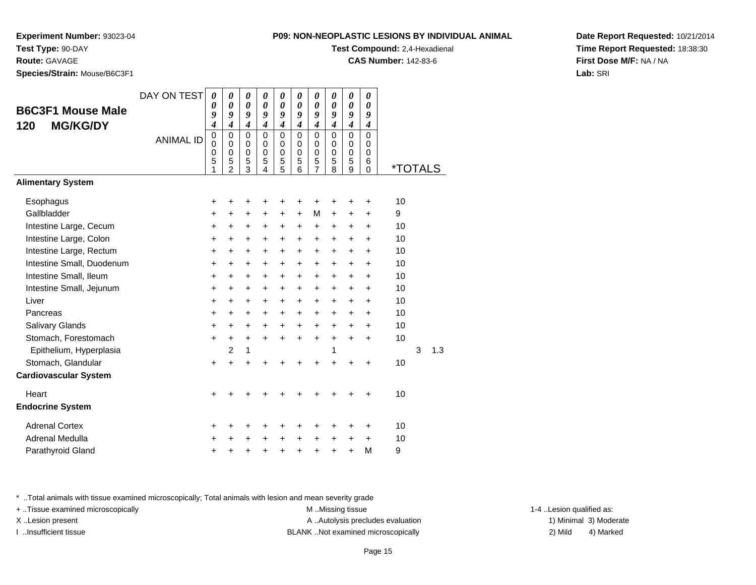**Experiment Number:** 93023-04**Test Type:** 90-DAY

**Route:** GAVAGE

**Species/Strain:** Mouse/B6C3F1

# **Test Compound:** 2,4-Hexadienal

**CAS Number:** 142-83-6

**Date Report Requested:** 10/21/2014**Time Report Requested:** 18:38:30**First Dose M/F:** NA / NA**Lab:** SRI

| <b>B6C3F1 Mouse Male</b>     | DAY ON TEST      | $\boldsymbol{\theta}$<br>0 | $\boldsymbol{\theta}$<br>$\boldsymbol{\theta}$                   | $\boldsymbol{\theta}$<br>0                          | 0<br>0                                              | 0<br>0                                    | 0<br>0                          | 0<br>$\boldsymbol{\theta}$             | $\boldsymbol{\theta}$<br>$\boldsymbol{\theta}$ | $\boldsymbol{\theta}$<br>$\boldsymbol{\theta}$ | 0<br>$\boldsymbol{\theta}$          |                       |   |     |
|------------------------------|------------------|----------------------------|------------------------------------------------------------------|-----------------------------------------------------|-----------------------------------------------------|-------------------------------------------|---------------------------------|----------------------------------------|------------------------------------------------|------------------------------------------------|-------------------------------------|-----------------------|---|-----|
| <b>MG/KG/DY</b>              |                  | 9<br>$\boldsymbol{4}$      | 9<br>$\boldsymbol{4}$                                            | 9<br>$\boldsymbol{4}$                               | 9<br>$\boldsymbol{4}$                               | 9<br>$\boldsymbol{4}$                     | 9<br>$\boldsymbol{4}$           | 9<br>$\boldsymbol{4}$                  | 9<br>$\boldsymbol{4}$                          | 9<br>$\boldsymbol{4}$                          | 9<br>4                              |                       |   |     |
| 120                          | <b>ANIMAL ID</b> | 0<br>0<br>0<br>5<br>1      | $\mathbf 0$<br>$\mathbf 0$<br>$\mathbf 0$<br>5<br>$\overline{2}$ | $\mathbf 0$<br>$\mathbf 0$<br>$\mathbf 0$<br>5<br>3 | $\mathbf 0$<br>$\mathbf 0$<br>$\mathbf 0$<br>5<br>4 | $\mathbf 0$<br>0<br>$\mathbf 0$<br>5<br>5 | $\mathbf 0$<br>0<br>0<br>5<br>6 | $\Omega$<br>0<br>$\mathbf 0$<br>5<br>7 | $\mathbf 0$<br>0<br>$\mathbf 0$<br>5<br>8      | $\Omega$<br>$\Omega$<br>$\mathbf 0$<br>5<br>9  | $\Omega$<br>$\Omega$<br>0<br>6<br>0 | <i><b>*TOTALS</b></i> |   |     |
| <b>Alimentary System</b>     |                  |                            |                                                                  |                                                     |                                                     |                                           |                                 |                                        |                                                |                                                |                                     |                       |   |     |
| Esophagus                    |                  | +                          | +                                                                | +                                                   | +                                                   | +                                         | +                               | +                                      |                                                | +                                              | +                                   | 10                    |   |     |
| Gallbladder                  |                  | $\ddot{}$                  | $\ddot{}$                                                        | $\ddot{}$                                           | $\ddot{}$                                           | $\ddot{}$                                 | $+$                             | M                                      | $\ddot{}$                                      | $\ddot{}$                                      | $\ddot{}$                           | 9                     |   |     |
| Intestine Large, Cecum       |                  | $\ddot{}$                  | $\ddot{}$                                                        | $\ddot{}$                                           | +                                                   | $\ddot{}$                                 | +                               | +                                      | $\ddot{}$                                      | +                                              | $\ddot{}$                           | 10                    |   |     |
| Intestine Large, Colon       |                  | $\ddot{}$                  | $\ddot{}$                                                        | $\ddot{}$                                           | $\ddot{}$                                           | $\ddot{}$                                 | $\ddot{}$                       | $\ddot{}$                              | $\ddot{}$                                      | $\ddot{}$                                      | +                                   | 10                    |   |     |
| Intestine Large, Rectum      |                  | $\ddot{}$                  | $+$                                                              | $\ddot{}$                                           | $\ddot{}$                                           | $\ddot{}$                                 | $\ddot{}$                       | $\ddot{}$                              | $\ddot{}$                                      | $\ddot{}$                                      | $\ddot{}$                           | 10                    |   |     |
| Intestine Small, Duodenum    |                  | $\ddot{}$                  | $\ddot{}$                                                        | +                                                   | $\ddot{}$                                           | $\ddot{}$                                 | +                               | +                                      | $\ddot{}$                                      | +                                              | +                                   | 10                    |   |     |
| Intestine Small, Ileum       |                  | $\ddot{}$                  | $\ddot{}$                                                        | $\ddot{}$                                           | $\ddot{}$                                           | $\ddot{}$                                 | $\ddot{}$                       | +                                      | $\ddot{}$                                      | $\ddot{}$                                      | $\ddot{}$                           | 10                    |   |     |
| Intestine Small, Jejunum     |                  | $\ddot{}$                  | $\ddot{}$                                                        | $\ddot{}$                                           | $\ddot{}$                                           | $\ddot{}$                                 | $+$                             | $\ddot{}$                              | $\ddot{}$                                      | $\ddot{}$                                      | $\ddot{}$                           | 10                    |   |     |
| Liver                        |                  | $\ddot{}$                  | $\ddot{}$                                                        | $\ddot{}$                                           | $\ddot{}$                                           | $\ddot{}$                                 | $\ddot{}$                       | $\ddot{}$                              | $\ddot{}$                                      | $\ddot{}$                                      | $\ddot{}$                           | 10                    |   |     |
| Pancreas                     |                  | $\ddot{}$                  | +                                                                | +                                                   | $\ddot{}$                                           | $\ddot{}$                                 | $\ddot{}$                       | $\ddot{}$                              | $\ddot{}$                                      | $\ddot{}$                                      | +                                   | 10                    |   |     |
| Salivary Glands              |                  | $\ddot{}$                  | $\ddot{}$                                                        | $\ddot{}$                                           | $\ddot{}$                                           | $\ddot{}$                                 | $\ddot{}$                       | $+$                                    | $\ddot{}$                                      | $+$                                            | $\ddot{}$                           | 10                    |   |     |
| Stomach, Forestomach         |                  | $\ddot{}$                  | $\ddot{}$                                                        | $+$                                                 | $\ddot{}$                                           | $\ddot{}$                                 | $\ddot{}$                       | $\ddot{}$                              | $\ddot{}$                                      | $\ddot{}$                                      | $\ddot{}$                           | 10                    |   |     |
| Epithelium, Hyperplasia      |                  |                            | 2                                                                | 1                                                   |                                                     |                                           |                                 |                                        | 1                                              |                                                |                                     |                       | 3 | 1.3 |
| Stomach, Glandular           |                  | $\ddot{}$                  | $+$                                                              | ÷                                                   | ÷                                                   |                                           | +                               | $\ddot{}$                              | $\ddot{}$                                      |                                                | $\ddot{}$                           | 10                    |   |     |
| <b>Cardiovascular System</b> |                  |                            |                                                                  |                                                     |                                                     |                                           |                                 |                                        |                                                |                                                |                                     |                       |   |     |
| Heart                        |                  | +                          |                                                                  |                                                     |                                                     |                                           |                                 |                                        |                                                |                                                | +                                   | 10                    |   |     |
| <b>Endocrine System</b>      |                  |                            |                                                                  |                                                     |                                                     |                                           |                                 |                                        |                                                |                                                |                                     |                       |   |     |
| <b>Adrenal Cortex</b>        |                  | +                          |                                                                  | +                                                   | +                                                   | +                                         | +                               | +                                      | +                                              | +                                              | +                                   | 10                    |   |     |
| Adrenal Medulla              |                  | $\ddot{}$                  |                                                                  | $\div$                                              | +                                                   | $\ddot{}$                                 | $\ddot{}$                       | $\ddot{}$                              | $\ddot{}$                                      | ÷                                              | $\ddot{}$                           | 10                    |   |     |
| Parathyroid Gland            |                  | +                          |                                                                  | +                                                   | +                                                   | +                                         | +                               | +                                      | +                                              | +                                              | M                                   | 9                     |   |     |

\* ..Total animals with tissue examined microscopically; Total animals with lesion and mean severity grade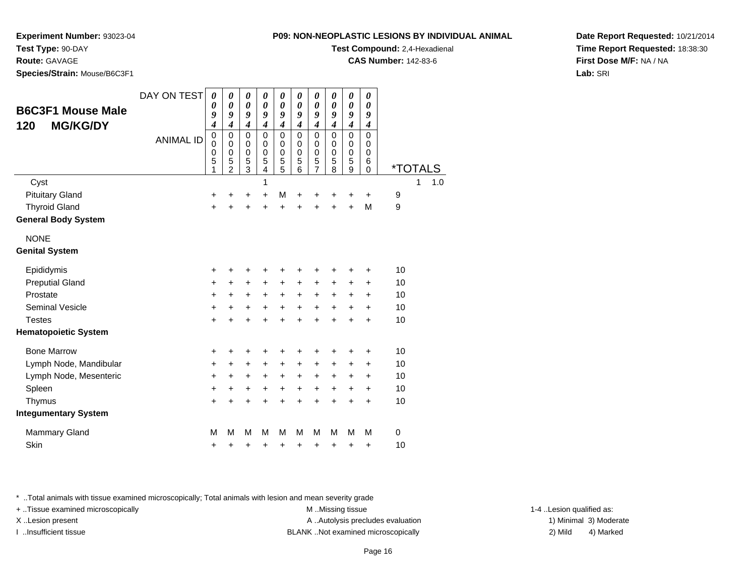**P09: NON-NEOPLASTIC LESIC** 

**Experiment Number:** 93023-04

**Test Type:** 90-DAY

**Route:** GAVAGE

**Species/Strain:** Mouse/B6C3F1

| OPLASTIC LESIONS BY INDIVIDUAL ANIMAL | Date R |
|---------------------------------------|--------|
| <b>Test Compound:</b> 2,4-Hexadienal  | Time R |

**CAS Number:** 142-83-6

**Date Report Requested:** 10/21/2014**Time Report Requested:** 18:38:30**First Dose M/F:** NA / NA**Lab:** SRI

| <b>B6C3F1 Mouse Male</b><br><b>MG/KG/DY</b><br>120 | DAY ON TEST      | $\boldsymbol{\theta}$<br>0<br>9<br>4      | $\boldsymbol{\theta}$<br>0<br>9<br>$\boldsymbol{4}$    | $\boldsymbol{\theta}$<br>$\boldsymbol{\theta}$<br>9<br>$\boldsymbol{4}$ | $\boldsymbol{\theta}$<br>$\boldsymbol{\theta}$<br>9<br>$\boldsymbol{4}$ | $\boldsymbol{\theta}$<br>$\boldsymbol{\theta}$<br>9<br>$\boldsymbol{4}$ | $\boldsymbol{\theta}$<br>0<br>9<br>$\boldsymbol{4}$ | $\boldsymbol{\theta}$<br>0<br>9<br>$\boldsymbol{4}$              | $\boldsymbol{\theta}$<br>0<br>9<br>$\boldsymbol{4}$ | $\boldsymbol{\theta}$<br>$\boldsymbol{\theta}$<br>9<br>$\boldsymbol{4}$ | 0<br>0<br>9<br>$\boldsymbol{4}$                     |                       |
|----------------------------------------------------|------------------|-------------------------------------------|--------------------------------------------------------|-------------------------------------------------------------------------|-------------------------------------------------------------------------|-------------------------------------------------------------------------|-----------------------------------------------------|------------------------------------------------------------------|-----------------------------------------------------|-------------------------------------------------------------------------|-----------------------------------------------------|-----------------------|
|                                                    | <b>ANIMAL ID</b> | $\mathbf 0$<br>$\mathbf 0$<br>0<br>5<br>1 | 0<br>$\mathbf 0$<br>$\mathbf 0$<br>5<br>$\mathfrak{p}$ | $\mathbf 0$<br>$\mathbf 0$<br>$\mathbf 0$<br>5<br>3                     | $\mathbf 0$<br>$\mathbf 0$<br>$\mathbf 0$<br>5<br>4                     | $\mathbf 0$<br>$\mathbf 0$<br>$\mathbf 0$<br>5<br>5                     | $\mathbf 0$<br>$\mathbf 0$<br>$\mathbf 0$<br>5<br>6 | $\mathbf 0$<br>$\mathbf 0$<br>$\mathbf 0$<br>5<br>$\overline{7}$ | $\mathbf 0$<br>$\mathbf 0$<br>$\mathbf 0$<br>5<br>8 | $\mathbf 0$<br>$\mathbf 0$<br>$\mathbf 0$<br>5<br>9                     | $\mathbf 0$<br>$\mathbf 0$<br>0<br>6<br>$\mathbf 0$ | <i><b>*TOTALS</b></i> |
| Cyst                                               |                  |                                           |                                                        |                                                                         | 1                                                                       |                                                                         |                                                     |                                                                  |                                                     |                                                                         |                                                     | 1.0<br>1              |
| <b>Pituitary Gland</b>                             |                  | +                                         | +                                                      | +                                                                       | $\ddot{}$                                                               | M                                                                       | +                                                   | +                                                                | +                                                   | +                                                                       | $\ddot{}$                                           | 9                     |
| <b>Thyroid Gland</b>                               |                  | $\ddot{}$                                 | $\ddot{}$                                              | $\ddot{}$                                                               | $\ddot{}$                                                               | $\ddot{}$                                                               | $\ddot{}$                                           | $\ddot{}$                                                        | $\ddot{}$                                           | $\ddot{}$                                                               | M                                                   | 9                     |
| <b>General Body System</b>                         |                  |                                           |                                                        |                                                                         |                                                                         |                                                                         |                                                     |                                                                  |                                                     |                                                                         |                                                     |                       |
| <b>NONE</b>                                        |                  |                                           |                                                        |                                                                         |                                                                         |                                                                         |                                                     |                                                                  |                                                     |                                                                         |                                                     |                       |
| <b>Genital System</b>                              |                  |                                           |                                                        |                                                                         |                                                                         |                                                                         |                                                     |                                                                  |                                                     |                                                                         |                                                     |                       |
| Epididymis                                         |                  | +                                         | +                                                      | +                                                                       | +                                                                       | +                                                                       | +                                                   | +                                                                | +                                                   | +                                                                       | +                                                   | 10                    |
| <b>Preputial Gland</b>                             |                  | +                                         | $\ddot{}$                                              | $\ddot{}$                                                               | $\ddot{}$                                                               | $\ddot{}$                                                               | $\ddot{}$                                           | $\ddot{}$                                                        | $\ddot{}$                                           | $\ddot{}$                                                               | $\ddot{}$                                           | 10                    |
| Prostate                                           |                  | +                                         | $\ddot{}$                                              | +                                                                       | $\ddot{}$                                                               | $\ddot{}$                                                               | $\ddot{}$                                           | $\ddot{}$                                                        | +                                                   | +                                                                       | $\ddot{}$                                           | 10                    |
| <b>Seminal Vesicle</b>                             |                  | +                                         | +                                                      | $\ddot{}$                                                               | +                                                                       | $\ddot{}$                                                               | $\ddot{}$                                           | $\ddot{}$                                                        | $\ddot{}$                                           | +                                                                       | +                                                   | 10                    |
| <b>Testes</b>                                      |                  | $\ddot{}$                                 | $\ddot{}$                                              | $\ddot{}$                                                               | $\ddot{}$                                                               | $\ddot{}$                                                               | $\ddot{}$                                           | $\ddot{}$                                                        | $\ddot{}$                                           | $\ddot{}$                                                               | $\ddot{}$                                           | 10                    |
| <b>Hematopoietic System</b>                        |                  |                                           |                                                        |                                                                         |                                                                         |                                                                         |                                                     |                                                                  |                                                     |                                                                         |                                                     |                       |
| <b>Bone Marrow</b>                                 |                  | +                                         | +                                                      | +                                                                       | +                                                                       | +                                                                       | +                                                   | +                                                                | +                                                   | +                                                                       | +                                                   | 10                    |
| Lymph Node, Mandibular                             |                  | +                                         | +                                                      | +                                                                       | $\ddot{}$                                                               | +                                                                       | +                                                   | $\ddot{}$                                                        | +                                                   | +                                                                       | +                                                   | 10                    |
| Lymph Node, Mesenteric                             |                  | +                                         | +                                                      | +                                                                       | +                                                                       | +                                                                       | +                                                   | +                                                                | +                                                   | +                                                                       | +                                                   | 10                    |
| Spleen                                             |                  | $\ddot{}$                                 | +                                                      | +                                                                       | +                                                                       | $\ddot{}$                                                               | $\ddot{}$                                           | $\ddot{}$                                                        | +                                                   | $\ddot{}$                                                               | $\ddot{}$                                           | 10                    |
| Thymus                                             |                  | $\ddot{}$                                 | $\ddot{}$                                              | $\ddot{}$                                                               | $\ddot{}$                                                               | $\ddot{}$                                                               | $\ddot{}$                                           | $\ddot{}$                                                        | $\ddot{}$                                           | $\ddot{}$                                                               | $\ddot{}$                                           | 10                    |
| <b>Integumentary System</b>                        |                  |                                           |                                                        |                                                                         |                                                                         |                                                                         |                                                     |                                                                  |                                                     |                                                                         |                                                     |                       |
| Mammary Gland                                      |                  | M                                         | M                                                      | M                                                                       | M                                                                       | M                                                                       | M                                                   | M                                                                | M                                                   | M                                                                       | M                                                   | $\mathbf 0$           |
| Skin                                               |                  | +                                         | +                                                      | +                                                                       | +                                                                       | +                                                                       | +                                                   | +                                                                | +                                                   | +                                                                       | +                                                   | 10                    |

\* ..Total animals with tissue examined microscopically; Total animals with lesion and mean severity grade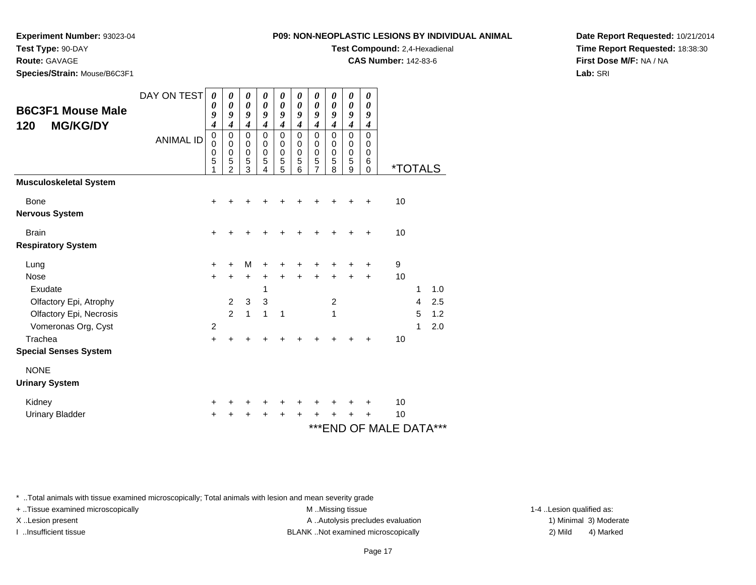**P09: N** 

**Experiment Number:** 93023-04

**Test Type:** 90-DAY

**Route:** GAVAGE

**Species/Strain:** Mouse/B6C3F1

**Test Compound:** 2,4-Hexadienal

**CAS Number:** 142-83-6

**Date Report Requested:** 10/21/2014**Time Report Requested:** 18:38:30**First Dose M/F:** NA / NA**Lab:** SRI

| <b>B6C3F1 Mouse Male</b>             | DAY ON TEST      | 0<br>0<br>9<br>$\boldsymbol{4}$ | 0<br>0<br>9<br>$\boldsymbol{4}$                        | 0<br>$\boldsymbol{\theta}$<br>9<br>$\overline{\boldsymbol{4}}$ | 0<br>$\boldsymbol{\theta}$<br>9<br>$\overline{4}$   | 0<br>$\boldsymbol{\theta}$<br>9<br>$\boldsymbol{4}$         | 0<br>0<br>9<br>$\boldsymbol{4}$           | 0<br>$\boldsymbol{\theta}$<br>9<br>$\boldsymbol{4}$ | 0<br>$\boldsymbol{\theta}$<br>9<br>$\boldsymbol{4}$ | 0<br>$\boldsymbol{\theta}$<br>9<br>$\boldsymbol{4}$          | 0<br>$\boldsymbol{\theta}$<br>9<br>$\boldsymbol{4}$ |                       |   |     |  |
|--------------------------------------|------------------|---------------------------------|--------------------------------------------------------|----------------------------------------------------------------|-----------------------------------------------------|-------------------------------------------------------------|-------------------------------------------|-----------------------------------------------------|-----------------------------------------------------|--------------------------------------------------------------|-----------------------------------------------------|-----------------------|---|-----|--|
| <b>MG/KG/DY</b><br>120               | <b>ANIMAL ID</b> | 0<br>0<br>0<br>5                | $\mathbf 0$<br>$\mathbf 0$<br>0<br>5<br>$\overline{2}$ | $\mathbf 0$<br>$\pmb{0}$<br>$\pmb{0}$<br>5<br>3                | $\mathbf 0$<br>$\mathbf 0$<br>$\mathbf 0$<br>5<br>4 | $\mathbf 0$<br>$\pmb{0}$<br>$\mathbf 0$<br>$\,$ 5 $\,$<br>5 | $\mathbf 0$<br>0<br>$\mathbf 0$<br>5<br>6 | 0<br>$\mathbf 0$<br>$\pmb{0}$<br>5<br>7             | $\mathbf 0$<br>$\mathbf 0$<br>$\mathbf 0$<br>5<br>8 | $\mathbf 0$<br>$\mathbf 0$<br>$\mathbf 0$<br>$\sqrt{5}$<br>9 | $\mathbf 0$<br>0<br>$\mathbf 0$<br>6<br>$\Omega$    | <i><b>*TOTALS</b></i> |   |     |  |
| <b>Musculoskeletal System</b>        |                  |                                 |                                                        |                                                                |                                                     |                                                             |                                           |                                                     |                                                     |                                                              |                                                     |                       |   |     |  |
| <b>Bone</b><br><b>Nervous System</b> |                  | ٠                               |                                                        |                                                                |                                                     |                                                             |                                           |                                                     |                                                     |                                                              | +                                                   | 10                    |   |     |  |
| <b>Brain</b>                         |                  | $\ddot{}$                       |                                                        |                                                                |                                                     |                                                             |                                           |                                                     |                                                     | +                                                            | $\ddot{}$                                           | 10                    |   |     |  |
| <b>Respiratory System</b>            |                  |                                 |                                                        |                                                                |                                                     |                                                             |                                           |                                                     |                                                     |                                                              |                                                     |                       |   |     |  |
| Lung                                 |                  | $\pm$                           |                                                        | M                                                              |                                                     |                                                             |                                           |                                                     |                                                     |                                                              | ٠                                                   | 9                     |   |     |  |
| <b>Nose</b>                          |                  | $+$                             | +                                                      | $\ddot{}$                                                      | +                                                   |                                                             |                                           | +                                                   | +                                                   | +                                                            | +                                                   | 10                    |   |     |  |
| Exudate                              |                  |                                 |                                                        |                                                                | 1                                                   |                                                             |                                           |                                                     |                                                     |                                                              |                                                     |                       | 1 | 1.0 |  |
| Olfactory Epi, Atrophy               |                  |                                 | $\overline{2}$                                         | $\mathbf{3}$                                                   | 3                                                   |                                                             |                                           |                                                     | $\overline{c}$                                      |                                                              |                                                     |                       | 4 | 2.5 |  |
| Olfactory Epi, Necrosis              |                  |                                 | $\overline{2}$                                         | 1                                                              | 1                                                   | $\mathbf 1$                                                 |                                           |                                                     | 1                                                   |                                                              |                                                     |                       | 5 | 1.2 |  |
| Vomeronas Org, Cyst                  |                  | $\overline{c}$                  |                                                        |                                                                |                                                     |                                                             |                                           |                                                     |                                                     |                                                              |                                                     |                       | 1 | 2.0 |  |
| Trachea                              |                  | $\ddot{}$                       |                                                        |                                                                |                                                     |                                                             |                                           |                                                     |                                                     |                                                              |                                                     | 10                    |   |     |  |
| <b>Special Senses System</b>         |                  |                                 |                                                        |                                                                |                                                     |                                                             |                                           |                                                     |                                                     |                                                              |                                                     |                       |   |     |  |
| <b>NONE</b>                          |                  |                                 |                                                        |                                                                |                                                     |                                                             |                                           |                                                     |                                                     |                                                              |                                                     |                       |   |     |  |
| <b>Urinary System</b>                |                  |                                 |                                                        |                                                                |                                                     |                                                             |                                           |                                                     |                                                     |                                                              |                                                     |                       |   |     |  |
| Kidney                               |                  | ٠                               |                                                        |                                                                |                                                     |                                                             |                                           |                                                     |                                                     | ٠                                                            | +                                                   | 10                    |   |     |  |
| <b>Urinary Bladder</b>               |                  | +                               |                                                        |                                                                |                                                     |                                                             | ٠                                         |                                                     |                                                     | +                                                            | ٠                                                   | 10                    |   |     |  |
|                                      |                  |                                 |                                                        |                                                                |                                                     |                                                             |                                           |                                                     |                                                     |                                                              |                                                     | ***END OF MALE DATA   |   | *** |  |

\* ..Total animals with tissue examined microscopically; Total animals with lesion and mean severity grade

+ ..Tissue examined microscopically examined microscopically examined as:  $M$  ..Missing tissue 1-4 ..Lesion qualified as:

M ..Missing tissue X..Lesion present **A ..Autolysis precludes evaluation** A ..Autolysis precludes evaluation 1) Minimal 3) Moderate I ..Insufficient tissue BLANK ..Not examined microscopically 2) Mild 4) Marked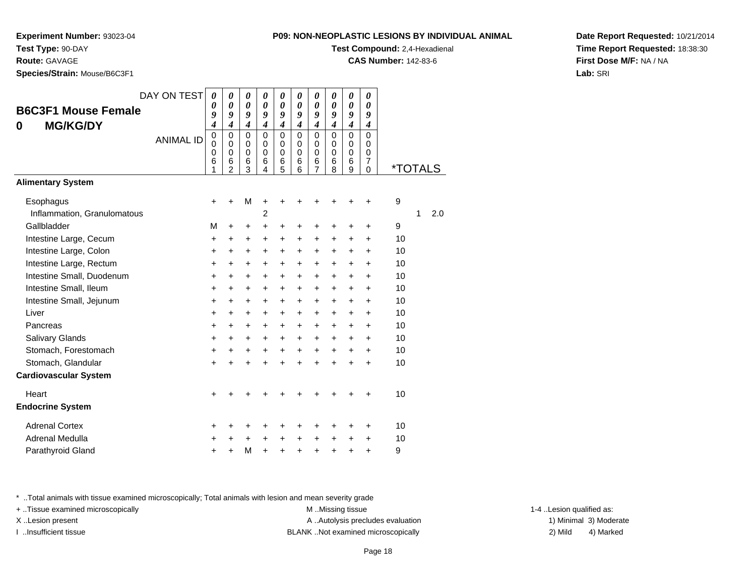**Experiment Number:** 93023-04

**Test Type:** 90-DAY

**Route:** GAVAGE

**Species/Strain:** Mouse/B6C3F1

| <b>P09: NON-NEOPLASTIC LESIONS BY INDIVIDUAL ANIMAL</b> |  |
|---------------------------------------------------------|--|
|---------------------------------------------------------|--|

**Test Compound:** 2,4-Hexadienal

**CAS Number:** 142-83-6

**Date Report Requested:** 10/21/2014**Time Report Requested:** 18:38:30**First Dose M/F:** NA / NA**Lab:** SRI

|                                          | DAY ON TEST      | $\boldsymbol{\theta}$<br>0                          | 0<br>0                                                                            | 0<br>$\boldsymbol{\theta}$                                                | $\boldsymbol{\theta}$<br>0                                        | 0<br>0                                                                  | 0<br>0                                                | 0<br>$\theta$                                                              | 0<br>0                                                               | 0<br>$\theta$                                  | 0<br>0                                                                            |                       |   |     |
|------------------------------------------|------------------|-----------------------------------------------------|-----------------------------------------------------------------------------------|---------------------------------------------------------------------------|-------------------------------------------------------------------|-------------------------------------------------------------------------|-------------------------------------------------------|----------------------------------------------------------------------------|----------------------------------------------------------------------|------------------------------------------------|-----------------------------------------------------------------------------------|-----------------------|---|-----|
| <b>B6C3F1 Mouse Female</b>               |                  | 9                                                   | 9                                                                                 | 9                                                                         | 9                                                                 | 9                                                                       | 9                                                     | 9                                                                          | 9                                                                    | 9                                              | 9                                                                                 |                       |   |     |
| <b>MG/KG/DY</b><br>0                     | <b>ANIMAL ID</b> | $\boldsymbol{4}$<br>$\mathbf 0$<br>0<br>0<br>6<br>1 | $\boldsymbol{4}$<br>$\mathbf 0$<br>$\Omega$<br>$\mathbf 0$<br>6<br>$\overline{2}$ | $\boldsymbol{4}$<br>$\mathbf 0$<br>0<br>$\pmb{0}$<br>$6\phantom{1}6$<br>3 | $\boldsymbol{4}$<br>$\Omega$<br>$\Omega$<br>$\mathbf 0$<br>6<br>4 | $\boldsymbol{4}$<br>$\mathbf 0$<br>0<br>$\mathbf 0$<br>$\,$ 6 $\,$<br>5 | 4<br>$\mathbf 0$<br>$\Omega$<br>$\mathbf 0$<br>6<br>6 | $\boldsymbol{4}$<br>$\mathbf 0$<br>0<br>$\mathbf 0$<br>6<br>$\overline{7}$ | $\boldsymbol{4}$<br>$\mathbf 0$<br>$\Omega$<br>$\mathbf 0$<br>6<br>8 | 4<br>$\mathbf 0$<br>0<br>$\mathbf 0$<br>6<br>9 | $\boldsymbol{4}$<br>$\Omega$<br>0<br>$\mathbf 0$<br>$\overline{7}$<br>$\mathbf 0$ | <i><b>*TOTALS</b></i> |   |     |
| <b>Alimentary System</b>                 |                  |                                                     |                                                                                   |                                                                           |                                                                   |                                                                         |                                                       |                                                                            |                                                                      |                                                |                                                                                   |                       |   |     |
| Esophagus<br>Inflammation, Granulomatous |                  | $\pm$                                               | +                                                                                 | M                                                                         | +<br>$\overline{2}$                                               |                                                                         |                                                       |                                                                            |                                                                      |                                                |                                                                                   | 9                     | 1 | 2.0 |
| Gallbladder                              |                  | М                                                   | $\ddot{}$                                                                         | +                                                                         | $\ddot{}$                                                         | +                                                                       | +                                                     | +                                                                          | +                                                                    | +                                              | $\ddot{}$                                                                         | 9                     |   |     |
| Intestine Large, Cecum                   |                  | +                                                   | +                                                                                 | +                                                                         | +                                                                 | +                                                                       | +                                                     | +                                                                          | +                                                                    | +                                              | $\ddot{}$                                                                         | 10                    |   |     |
| Intestine Large, Colon                   |                  | $\ddot{}$                                           | $\ddot{}$                                                                         | $\ddot{}$                                                                 | $\ddot{}$                                                         | $\ddot{}$                                                               | $\ddot{}$                                             | $\ddot{}$                                                                  | $\ddot{}$                                                            | $\ddot{}$                                      | $\ddot{}$                                                                         | 10                    |   |     |
| Intestine Large, Rectum                  |                  | $\ddot{}$                                           | +                                                                                 | +                                                                         | +                                                                 | +                                                                       | +                                                     | +                                                                          | +                                                                    | +                                              | $\ddot{}$                                                                         | 10                    |   |     |
| Intestine Small, Duodenum                |                  | $\ddot{}$                                           | +                                                                                 | $\pm$                                                                     | $\ddot{}$                                                         | $\ddot{}$                                                               | $\ddot{}$                                             | $\ddot{}$                                                                  | $\ddot{}$                                                            | $\ddot{}$                                      | $\ddot{}$                                                                         | 10                    |   |     |
| Intestine Small, Ileum                   |                  | $\ddot{}$                                           | $\ddot{}$                                                                         | +                                                                         | $\ddot{}$                                                         | $\ddot{}$                                                               | $\ddot{}$                                             | $\ddot{}$                                                                  | $\ddot{}$                                                            | $\ddot{}$                                      | $\ddot{}$                                                                         | 10                    |   |     |
| Intestine Small, Jejunum                 |                  | $\ddot{}$                                           | $\ddot{}$                                                                         | $\ddot{}$                                                                 | $\ddot{}$                                                         | $\ddot{}$                                                               | $\ddot{}$                                             | $\ddot{}$                                                                  | $\ddot{}$                                                            | $\ddot{}$                                      | $\ddot{}$                                                                         | 10                    |   |     |
| Liver                                    |                  | $\ddot{}$                                           | $\ddot{}$                                                                         | +                                                                         | $\ddot{}$                                                         | $\ddot{}$                                                               | $\ddot{}$                                             | $\pm$                                                                      | $\ddot{}$                                                            | +                                              | $\ddot{}$                                                                         | 10                    |   |     |
| Pancreas                                 |                  | $\ddot{}$                                           | $\ddot{}$                                                                         | $\ddot{}$                                                                 | $\ddot{}$                                                         | $\ddot{}$                                                               | $\ddot{}$                                             | $\ddot{}$                                                                  | $\ddot{}$                                                            | $\ddot{}$                                      | $\ddot{}$                                                                         | 10                    |   |     |
| Salivary Glands                          |                  | +                                                   | $\ddot{}$                                                                         | +                                                                         | $\ddot{}$                                                         | $\ddot{}$                                                               | $\ddot{}$                                             | +                                                                          | $\ddot{}$                                                            | +                                              | $\ddot{}$                                                                         | 10                    |   |     |
| Stomach, Forestomach                     |                  | $\ddot{}$                                           | $\ddot{}$                                                                         | $\ddot{}$                                                                 | $\ddot{}$                                                         | $\ddot{}$                                                               | $\ddot{}$                                             | $\ddot{}$                                                                  | $\ddot{}$                                                            | $\ddot{}$                                      | $\ddot{}$                                                                         | 10                    |   |     |
| Stomach, Glandular                       |                  | $\ddot{}$                                           | $\ddot{}$                                                                         | $\ddot{}$                                                                 | $\ddot{}$                                                         | $\ddot{}$                                                               | $\ddot{}$                                             | $\ddot{}$                                                                  | $\ddot{}$                                                            | $\ddot{}$                                      | $\ddot{}$                                                                         | 10                    |   |     |
| <b>Cardiovascular System</b>             |                  |                                                     |                                                                                   |                                                                           |                                                                   |                                                                         |                                                       |                                                                            |                                                                      |                                                |                                                                                   |                       |   |     |
| Heart<br><b>Endocrine System</b>         |                  | $\ddot{}$                                           | +                                                                                 | +                                                                         |                                                                   |                                                                         |                                                       |                                                                            |                                                                      |                                                | $\ddot{}$                                                                         | 10                    |   |     |
| <b>Adrenal Cortex</b>                    |                  | +                                                   | +                                                                                 | +                                                                         |                                                                   |                                                                         |                                                       |                                                                            |                                                                      |                                                | +                                                                                 | 10                    |   |     |
| Adrenal Medulla                          |                  | +                                                   | +                                                                                 | +                                                                         | +                                                                 | +                                                                       | +                                                     | +                                                                          | +                                                                    | +                                              | +                                                                                 | 10                    |   |     |
| Parathyroid Gland                        |                  | +                                                   | +                                                                                 | M                                                                         | $\ddot{}$                                                         | $\ddot{}$                                                               | +                                                     | +                                                                          | +                                                                    | +                                              | $\ddot{}$                                                                         | 9                     |   |     |

\* ..Total animals with tissue examined microscopically; Total animals with lesion and mean severity grade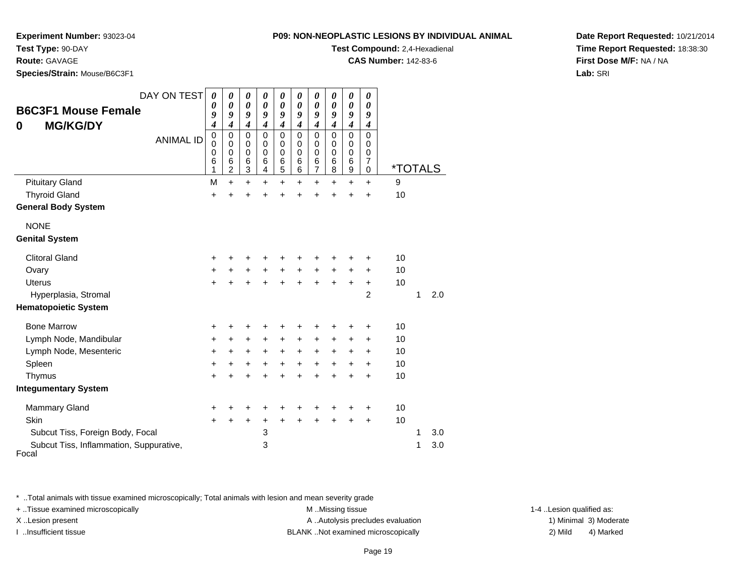**Test Type:** 90-DAY

| Test Type: 90-DAY                                  |                                 |                                      |                                                |                                      |                                                |                                      |                                      |                                      |                                                    |                                                |                                      | Test Compound: 2,4-Hexadienal |     |
|----------------------------------------------------|---------------------------------|--------------------------------------|------------------------------------------------|--------------------------------------|------------------------------------------------|--------------------------------------|--------------------------------------|--------------------------------------|----------------------------------------------------|------------------------------------------------|--------------------------------------|-------------------------------|-----|
| <b>Route: GAVAGE</b>                               |                                 |                                      |                                                |                                      |                                                |                                      |                                      |                                      |                                                    |                                                |                                      | <b>CAS Number: 142-83-6</b>   |     |
| Species/Strain: Mouse/B6C3F1                       |                                 |                                      |                                                |                                      |                                                |                                      |                                      |                                      |                                                    |                                                |                                      |                               |     |
| <b>B6C3F1 Mouse Female</b><br><b>MG/KG/DY</b><br>0 | DAY ON TEST<br><b>ANIMAL ID</b> | 0<br>0<br>9<br>4<br>0<br>0<br>0<br>6 | 0<br>0<br>9<br>4<br>0<br>$\mathbf 0$<br>0<br>6 | 0<br>0<br>9<br>4<br>0<br>0<br>0<br>6 | 0<br>0<br>9<br>4<br>0<br>0<br>$\mathbf 0$<br>6 | 0<br>0<br>9<br>4<br>0<br>0<br>0<br>6 | 0<br>0<br>9<br>4<br>0<br>0<br>0<br>6 | 0<br>0<br>9<br>4<br>0<br>0<br>0<br>6 | 0<br>0<br>9<br>4<br>$\Omega$<br>0<br>$\Omega$<br>6 | 0<br>0<br>9<br>4<br>0<br>0<br>$\mathbf 0$<br>6 | 0<br>0<br>9<br>4<br>0<br>0<br>0<br>7 |                               |     |
|                                                    |                                 |                                      | $\overline{c}$                                 | 3                                    | 4                                              | 5                                    | 6                                    | $\overline{7}$                       | 8                                                  | 9                                              | $\mathbf 0$                          | <i><b>*TOTALS</b></i>         |     |
| <b>Pituitary Gland</b>                             |                                 | М                                    | $+$                                            | +                                    | +                                              | $\ddot{}$                            | +                                    | $\ddot{}$                            | $\ddot{}$                                          | $\ddot{}$                                      | $\ddot{}$                            | 9                             |     |
| <b>Thyroid Gland</b>                               |                                 | +                                    |                                                |                                      |                                                |                                      |                                      |                                      |                                                    | $\ddot{}$                                      | $\ddot{}$                            | 10                            |     |
| <b>General Body System</b>                         |                                 |                                      |                                                |                                      |                                                |                                      |                                      |                                      |                                                    |                                                |                                      |                               |     |
| <b>NONE</b>                                        |                                 |                                      |                                                |                                      |                                                |                                      |                                      |                                      |                                                    |                                                |                                      |                               |     |
| <b>Genital System</b>                              |                                 |                                      |                                                |                                      |                                                |                                      |                                      |                                      |                                                    |                                                |                                      |                               |     |
| <b>Clitoral Gland</b>                              |                                 | +                                    |                                                |                                      | +                                              |                                      |                                      |                                      |                                                    | ٠                                              | $\ddot{}$                            | 10                            |     |
| Ovary                                              |                                 | +                                    |                                                | $\ddot{}$                            | $+$                                            | $+$                                  | $\ddot{}$                            | $+$                                  | $+$                                                | $\ddot{}$                                      | $\ddot{}$                            | 10                            |     |
| <b>Uterus</b>                                      |                                 |                                      |                                                | $\ddot{}$                            |                                                |                                      | $\ddot{}$                            | $\ddot{}$                            | $\ddot{}$                                          | $\ddot{}$                                      | $\ddot{}$                            | 10                            |     |
| Hyperplasia, Stromal                               |                                 |                                      |                                                |                                      |                                                |                                      |                                      |                                      |                                                    |                                                | $\overline{2}$                       |                               | 2.0 |

## **Hematopoietic System**

| <b>Bone Marrow</b>                               | ÷ |   | ÷ | ٠ | ÷ | ÷ | + | + | ÷ | ÷         | 10 |     |  |
|--------------------------------------------------|---|---|---|---|---|---|---|---|---|-----------|----|-----|--|
| Lymph Node, Mandibular                           | ÷ |   | ÷ | ٠ | ÷ | ÷ | + | + | + | ÷         | 10 |     |  |
| Lymph Node, Mesenteric                           | ÷ | ÷ | ÷ | ÷ | ÷ | ÷ | ٠ | + | ÷ | $\ddot{}$ | 10 |     |  |
| Spleen                                           | ÷ |   | ÷ | ٠ | ÷ | ÷ | ٠ | + | ÷ | ÷         | 10 |     |  |
| Thymus                                           | ÷ |   | ÷ | ÷ | ÷ | ÷ | + | + | ÷ | ÷         | 10 |     |  |
| <b>Integumentary System</b>                      |   |   |   |   |   |   |   |   |   |           |    |     |  |
| Mammary Gland                                    | ÷ |   | ÷ | ٠ | ÷ | + | + |   |   | ÷         | 10 |     |  |
| <b>Skin</b>                                      | ÷ |   | ÷ | + | ÷ | ÷ | + | + |   | ٠         | 10 |     |  |
| Subcut Tiss, Foreign Body, Focal                 |   |   |   | 3 |   |   |   |   |   |           |    | 3.0 |  |
| Subcut Tiss, Inflammation, Suppurative,<br>Focal |   |   |   | 3 |   |   |   |   |   |           |    | 3.0 |  |

\* ..Total animals with tissue examined microscopically; Total animals with lesion and mean severity grade

+ ..Tissue examined microscopically examined microscopically examined as:  $M$  ..Missing tissue 1-4 ..Lesion qualified as: X..Lesion present **A ..Autolysis precludes evaluation** A ..Autolysis precludes evaluation 1) Minimal 3) Moderate

I ..Insufficient tissue BLANK ..Not examined microscopically 2) Mild 4) Marked

**Date Report Requested:** 10/21/2014**Time Report Requested:** 18:38:30**First Dose M/F:** NA / NA**Lab:** SRI

## **P09: NON-NEOPLASTIC LESIONS BY INDIVIDUAL ANIMAL**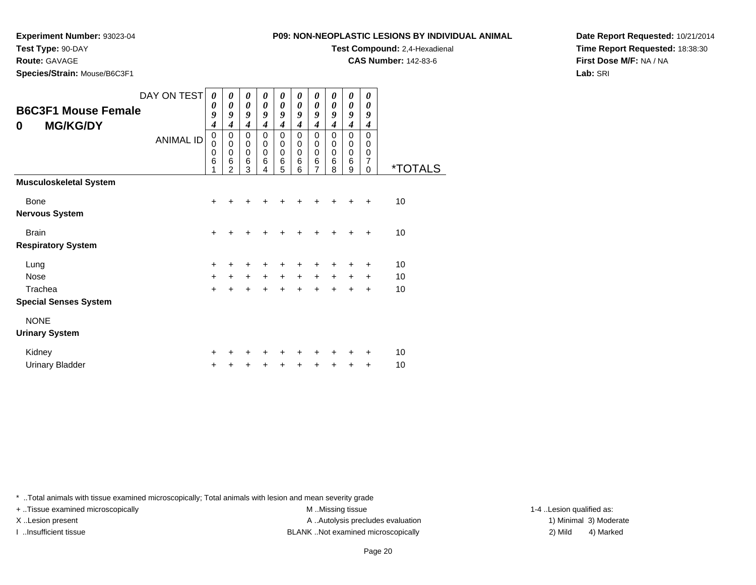**Experiment Number:** 93023-04

**Test Type:** 90-DAY

**Route:** GAVAGE

**Species/Strain:** Mouse/B6C3F1

| : NON-NEOPLASTIC LESIONS BY INDIVIDUAL ANIMAL |  |  |
|-----------------------------------------------|--|--|
|                                               |  |  |

**Test Compound:** 2,4-Hexadienal

**CAS Number:** 142-83-6

**Date Report Requested:** 10/21/2014**Time Report Requested:** 18:38:30**First Dose M/F:** NA / NA**Lab:** SRI

| <b>B6C3F1 Mouse Female</b><br><b>MG/KG/DY</b><br>0 | DAY ON TEST<br><b>ANIMAL ID</b> | 0<br>0<br>9<br>$\overline{\boldsymbol{4}}$<br>$\pmb{0}$<br>0<br>0<br>6 | 0<br>$\boldsymbol{\theta}$<br>9<br>4<br>0<br>$\pmb{0}$<br>$\pmb{0}$<br>6<br>$\mathcal{P}$ | 0<br>0<br>9<br>4<br>0<br>0<br>$\mathbf 0$<br>6<br>3 | 0<br>0<br>9<br>$\boldsymbol{4}$<br>0<br>0<br>0<br>6<br>4 | 0<br>0<br>9<br>4<br>0<br>0<br>$\mathbf 0$<br>6<br>5 | 0<br>0<br>9<br>$\boldsymbol{4}$<br>0<br>0<br>$\mathbf 0$<br>$\,6$<br>6 | 0<br>0<br>9<br>4<br>0<br>0<br>$\mathbf 0$<br>6<br>7 | 0<br>0<br>9<br>$\boldsymbol{4}$<br>$\pmb{0}$<br>0<br>$\mathbf 0$<br>$\,6$<br>8 | 0<br>0<br>9<br>4<br>$\Omega$<br>0<br>$\Omega$<br>6<br>9 | 0<br>0<br>9<br>$\boldsymbol{4}$<br>$\Omega$<br>0<br>$\pmb{0}$<br>$\overline{7}$<br>$\Omega$ | <i><b>*TOTALS</b></i> |
|----------------------------------------------------|---------------------------------|------------------------------------------------------------------------|-------------------------------------------------------------------------------------------|-----------------------------------------------------|----------------------------------------------------------|-----------------------------------------------------|------------------------------------------------------------------------|-----------------------------------------------------|--------------------------------------------------------------------------------|---------------------------------------------------------|---------------------------------------------------------------------------------------------|-----------------------|
| <b>Musculoskeletal System</b>                      |                                 |                                                                        |                                                                                           |                                                     |                                                          |                                                     |                                                                        |                                                     |                                                                                |                                                         |                                                                                             |                       |
| <b>Bone</b>                                        |                                 | $\ddot{}$                                                              |                                                                                           |                                                     |                                                          |                                                     |                                                                        |                                                     |                                                                                | $\div$                                                  | $\ddot{}$                                                                                   | 10                    |
| <b>Nervous System</b>                              |                                 |                                                                        |                                                                                           |                                                     |                                                          |                                                     |                                                                        |                                                     |                                                                                |                                                         |                                                                                             |                       |
| <b>Brain</b>                                       |                                 | $\ddot{}$                                                              |                                                                                           |                                                     |                                                          |                                                     |                                                                        |                                                     |                                                                                | +                                                       | $\ddot{}$                                                                                   | 10                    |
| <b>Respiratory System</b>                          |                                 |                                                                        |                                                                                           |                                                     |                                                          |                                                     |                                                                        |                                                     |                                                                                |                                                         |                                                                                             |                       |
| Lung                                               |                                 | +                                                                      | +                                                                                         | +                                                   | +                                                        | +                                                   | ٠                                                                      | ٠                                                   | ٠                                                                              | +                                                       | $\ddot{}$                                                                                   | 10                    |
| Nose                                               |                                 | $\ddot{}$                                                              | $+$                                                                                       | $\ddot{}$                                           | $\ddot{}$                                                | $\ddot{}$                                           | $+$                                                                    | $+$                                                 | $\ddot{}$                                                                      | $\ddot{}$                                               | $\ddot{}$                                                                                   | 10                    |
| Trachea                                            |                                 | $\ddot{}$                                                              | $\ddot{}$                                                                                 | $\ddot{}$                                           | $+$                                                      | $\ddot{}$                                           | $+$                                                                    | $+$                                                 | $+$                                                                            | $+$                                                     | $\ddot{}$                                                                                   | 10                    |
| <b>Special Senses System</b>                       |                                 |                                                                        |                                                                                           |                                                     |                                                          |                                                     |                                                                        |                                                     |                                                                                |                                                         |                                                                                             |                       |
| <b>NONE</b>                                        |                                 |                                                                        |                                                                                           |                                                     |                                                          |                                                     |                                                                        |                                                     |                                                                                |                                                         |                                                                                             |                       |
| <b>Urinary System</b>                              |                                 |                                                                        |                                                                                           |                                                     |                                                          |                                                     |                                                                        |                                                     |                                                                                |                                                         |                                                                                             |                       |
| Kidney                                             |                                 | +                                                                      |                                                                                           |                                                     |                                                          |                                                     |                                                                        |                                                     | ٠                                                                              | +                                                       | $\ddot{}$                                                                                   | 10                    |
| <b>Urinary Bladder</b>                             |                                 | ٠                                                                      |                                                                                           |                                                     | ٠                                                        | +                                                   | ٠                                                                      | +                                                   | $\ddot{}$                                                                      | ٠                                                       | $\ddot{}$                                                                                   | 10                    |

\* ..Total animals with tissue examined microscopically; Total animals with lesion and mean severity grade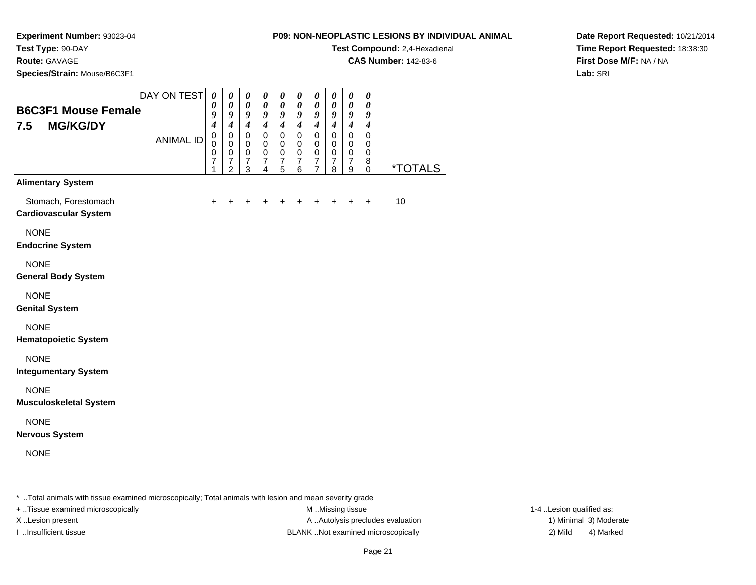**Test Compound:** 2,4-Hexadienal

**CAS Number:** 142-83-6

**Species/Strain:** Mouse/B6C3F1

**Experiment Number:** 93023-04

**Test Type:** 90-DAY**Route:** GAVAGE

## **Date Report Requested:** 10/21/2014**Time Report Requested:** 18:38:30**First Dose M/F:** NA / NA**Lab:** SRI

| <b>B6C3F1 Mouse Female</b>                           | DAY ON TEST      | $\boldsymbol{\theta}$<br>0<br>9                                                               | $\pmb{\theta}$<br>$\boldsymbol{\theta}$<br>9                                                 | $\boldsymbol{\theta}$<br>0<br>9                                                      | $\boldsymbol{\theta}$<br>$\boldsymbol{\theta}$<br>$\boldsymbol{g}$                    | $\pmb{\theta}$<br>$\pmb{\theta}$<br>$\boldsymbol{g}$                             | $\pmb{\theta}$<br>0<br>9                                                           | $\pmb{\theta}$<br>$\boldsymbol{\theta}$<br>9                                                           | $\pmb{\theta}$<br>0<br>$\boldsymbol{g}$                                                      | $\boldsymbol{\theta}$<br>$\boldsymbol{\theta}$<br>$\boldsymbol{g}$                      | $\boldsymbol{\theta}$<br>0<br>9                                                   |                       |
|------------------------------------------------------|------------------|-----------------------------------------------------------------------------------------------|----------------------------------------------------------------------------------------------|--------------------------------------------------------------------------------------|---------------------------------------------------------------------------------------|----------------------------------------------------------------------------------|------------------------------------------------------------------------------------|--------------------------------------------------------------------------------------------------------|----------------------------------------------------------------------------------------------|-----------------------------------------------------------------------------------------|-----------------------------------------------------------------------------------|-----------------------|
| 7.5<br><b>MG/KG/DY</b>                               | <b>ANIMAL ID</b> | $\overline{\boldsymbol{4}}$<br>$\mathsf 0$<br>$\mathbf 0$<br>$\pmb{0}$<br>$\overline{7}$<br>1 | $\overline{\boldsymbol{4}}$<br>0<br>$\pmb{0}$<br>$\,0\,$<br>$\overline{7}$<br>$\overline{2}$ | $\boldsymbol{4}$<br>$\mathsf 0$<br>$\mathbf 0$<br>$\mathbf 0$<br>$\overline{7}$<br>3 | $\boldsymbol{4}$<br>$\overline{0}$<br>$\mathbf 0$<br>$\pmb{0}$<br>$\overline{7}$<br>4 | $\boldsymbol{4}$<br>$\mathsf{O}\xspace$<br>0<br>$\pmb{0}$<br>$\overline{7}$<br>5 | $\boldsymbol{4}$<br>$\mathsf{O}\xspace$<br>$\mathbf 0$<br>0<br>$\overline{7}$<br>6 | $\overline{\boldsymbol{4}}$<br>$\pmb{0}$<br>$\pmb{0}$<br>$\pmb{0}$<br>$\overline{7}$<br>$\overline{7}$ | $\boldsymbol{4}$<br>$\mathsf{O}\xspace$<br>$\mathbf 0$<br>$\mathbf 0$<br>$\overline{7}$<br>8 | $\boldsymbol{4}$<br>$\overline{0}$<br>$\mathbf 0$<br>$\pmb{0}$<br>$\boldsymbol{7}$<br>9 | $\boldsymbol{4}$<br>$\mathbf 0$<br>$\mathbf 0$<br>$\mathbf 0$<br>8<br>$\mathbf 0$ | <i><b>*TOTALS</b></i> |
| <b>Alimentary System</b>                             |                  |                                                                                               |                                                                                              |                                                                                      |                                                                                       |                                                                                  |                                                                                    |                                                                                                        |                                                                                              |                                                                                         |                                                                                   |                       |
| Stomach, Forestomach<br><b>Cardiovascular System</b> |                  | $\pm$                                                                                         |                                                                                              |                                                                                      | +                                                                                     | +                                                                                | +                                                                                  | $\ddot{}$                                                                                              |                                                                                              | $\pm$                                                                                   | $\ddot{}$                                                                         | 10                    |
| <b>NONE</b><br><b>Endocrine System</b>               |                  |                                                                                               |                                                                                              |                                                                                      |                                                                                       |                                                                                  |                                                                                    |                                                                                                        |                                                                                              |                                                                                         |                                                                                   |                       |
| <b>NONE</b><br><b>General Body System</b>            |                  |                                                                                               |                                                                                              |                                                                                      |                                                                                       |                                                                                  |                                                                                    |                                                                                                        |                                                                                              |                                                                                         |                                                                                   |                       |
| <b>NONE</b><br><b>Genital System</b>                 |                  |                                                                                               |                                                                                              |                                                                                      |                                                                                       |                                                                                  |                                                                                    |                                                                                                        |                                                                                              |                                                                                         |                                                                                   |                       |
| <b>NONE</b><br><b>Hematopoietic System</b>           |                  |                                                                                               |                                                                                              |                                                                                      |                                                                                       |                                                                                  |                                                                                    |                                                                                                        |                                                                                              |                                                                                         |                                                                                   |                       |
| <b>NONE</b><br><b>Integumentary System</b>           |                  |                                                                                               |                                                                                              |                                                                                      |                                                                                       |                                                                                  |                                                                                    |                                                                                                        |                                                                                              |                                                                                         |                                                                                   |                       |
| <b>NONE</b><br><b>Musculoskeletal System</b>         |                  |                                                                                               |                                                                                              |                                                                                      |                                                                                       |                                                                                  |                                                                                    |                                                                                                        |                                                                                              |                                                                                         |                                                                                   |                       |
| <b>NONE</b><br><b>Nervous System</b>                 |                  |                                                                                               |                                                                                              |                                                                                      |                                                                                       |                                                                                  |                                                                                    |                                                                                                        |                                                                                              |                                                                                         |                                                                                   |                       |
| <b>NONE</b>                                          |                  |                                                                                               |                                                                                              |                                                                                      |                                                                                       |                                                                                  |                                                                                    |                                                                                                        |                                                                                              |                                                                                         |                                                                                   |                       |
|                                                      |                  |                                                                                               |                                                                                              |                                                                                      |                                                                                       |                                                                                  |                                                                                    |                                                                                                        |                                                                                              |                                                                                         |                                                                                   |                       |

\* ..Total animals with tissue examined microscopically; Total animals with lesion and mean severity grade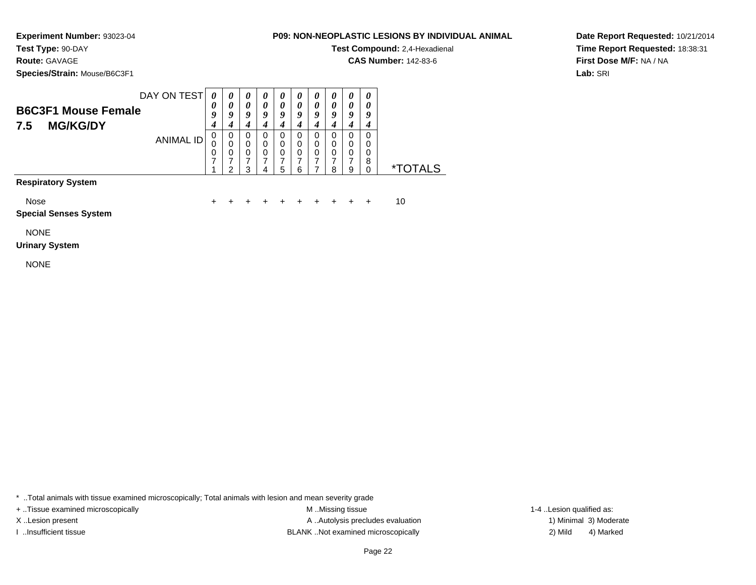**Test Type:** 90-DAY

**Route:** GAVAGE

**Species/Strain:** Mouse/B6C3F1

| P09: NON-NEOPLASTIC LESIONS BY INDIVIDUAL ANIMAL |
|--------------------------------------------------|

**Test Compound:** 2,4-Hexadienal

**CAS Number:** 142-83-6

**Date Report Requested:** 10/21/2014**Time Report Requested:** 18:38:31**First Dose M/F:** NA / NA**Lab:** SRI

| DAY ON TEST                                  |        | 0 | O      | U | U      | U      | U      | U      | $\boldsymbol{\theta}$ | $\boldsymbol{\theta}$ |  |
|----------------------------------------------|--------|---|--------|---|--------|--------|--------|--------|-----------------------|-----------------------|--|
| <b>B6C3F1 Mouse Female</b>                   | U<br>g | a | 0<br>Q | a | 0<br>Q | u      | 0<br>ч | U<br>u | 0<br>Q                | 0<br>9                |  |
| <b>MG/KG/DY</b><br>7.5                       |        |   |        |   |        |        |        |        |                       |                       |  |
| ANIMAL ID                                    | U      | O | 0      |   | O      | O      | O      | U      | 0                     | 0                     |  |
|                                              | U      |   | 0<br>0 | 0 | 0<br>0 | 0<br>0 | 0<br>0 | 0<br>0 | 0<br>0                | 0<br>0                |  |
|                                              |        |   |        |   |        |        |        |        |                       | 8                     |  |
|                                              |        |   | ?      |   | 5      | 6      |        | я      | 9                     | 0                     |  |
| <b>D</b> - - - ! - - ( - -- - 0 - - ( - -- - |        |   |        |   |        |        |        |        |                       |                       |  |

**Respiratory System**

Nose

<sup>+</sup> <sup>+</sup> <sup>+</sup> <sup>+</sup> <sup>+</sup> <sup>+</sup> <sup>+</sup> <sup>+</sup> + 10

 $e$  + **Special Senses System**

NONE

## **Urinary System**

NONE

\* ..Total animals with tissue examined microscopically; Total animals with lesion and mean severity grade

+ ..Tissue examined microscopically examined microscopically examined as:  $M$  ..Missing tissue 1-4 ..Lesion qualified as:

M ..Missing tissue X..Lesion present **A ..Autolysis precludes evaluation** A ..Autolysis precludes evaluation 1) Minimal 3) Moderate I ..Insufficient tissue BLANK ..Not examined microscopically 2) Mild 4) Marked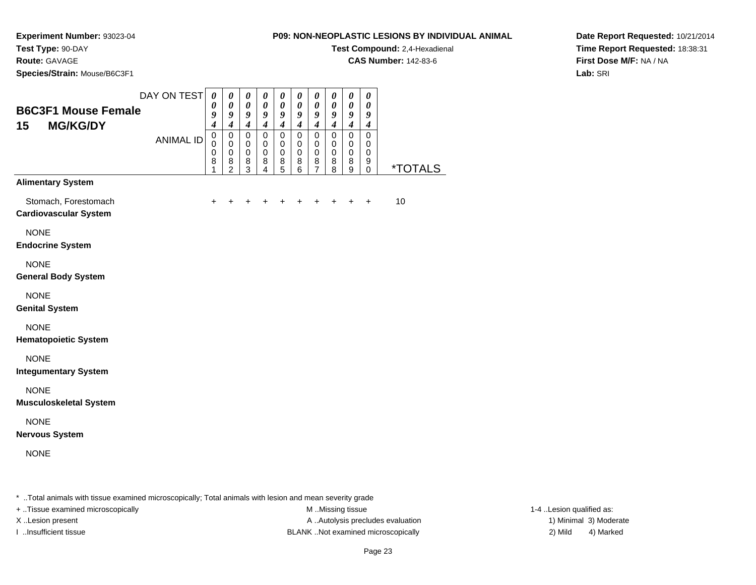**P09: NON-NEOPLASTIC LESIONS BY INDIVIDUAL ANIMALTest Compound:** 2,4-Hexadienal

**CAS Number:** 142-83-6

**Experiment Number:** 93023-04**Test Type:** 90-DAY

**Route:** GAVAGE

**Species/Strain:** Mouse/B6C3F1

**Date Report Requested:** 10/21/2014**Time Report Requested:** 18:38:31**First Dose M/F:** NA / NA**Lab:** SRI

| <b>B6C3F1 Mouse Female</b>                           | DAY ON TEST      | $\boldsymbol{\theta}$<br>0                    | $\boldsymbol{\theta}$<br>0                                     | $\boldsymbol{\theta}$<br>$\boldsymbol{\theta}$         | 0<br>0                                                         | $\boldsymbol{\theta}$<br>$\boldsymbol{\theta}$                  | 0<br>$\boldsymbol{\theta}$                    | $\boldsymbol{\theta}$<br>0                   | 0<br>$\boldsymbol{\theta}$                      | $\pmb{\theta}$<br>0                                         | 0<br>0                                                    |                       |
|------------------------------------------------------|------------------|-----------------------------------------------|----------------------------------------------------------------|--------------------------------------------------------|----------------------------------------------------------------|-----------------------------------------------------------------|-----------------------------------------------|----------------------------------------------|-------------------------------------------------|-------------------------------------------------------------|-----------------------------------------------------------|-----------------------|
| 15<br><b>MG/KG/DY</b>                                |                  | 9<br>$\boldsymbol{4}$                         | 9<br>$\boldsymbol{4}$                                          | 9<br>$\boldsymbol{4}$                                  | 9<br>$\boldsymbol{4}$                                          | $\boldsymbol{g}$<br>$\boldsymbol{4}$                            | $\boldsymbol{g}$<br>$\boldsymbol{4}$          | 9<br>$\boldsymbol{4}$                        | 9<br>$\boldsymbol{4}$                           | $\boldsymbol{g}$<br>$\boldsymbol{4}$                        | 9<br>$\boldsymbol{4}$                                     |                       |
|                                                      | <b>ANIMAL ID</b> | $\mathsf 0$<br>$\pmb{0}$<br>$\,0\,$<br>8<br>1 | $\pmb{0}$<br>$\mathbf 0$<br>$\mathbf 0$<br>8<br>$\overline{2}$ | $\pmb{0}$<br>$\mathbf 0$<br>$\mathbf 0$<br>$\bf8$<br>3 | $\pmb{0}$<br>$\mathbf 0$<br>$\mathbf 0$<br>8<br>$\overline{4}$ | $\pmb{0}$<br>$\pmb{0}$<br>$\pmb{0}$<br>$\, 8$<br>$\overline{5}$ | $\pmb{0}$<br>$\pmb{0}$<br>$\pmb{0}$<br>8<br>6 | $\mathbf 0$<br>0<br>0<br>8<br>$\overline{7}$ | $\pmb{0}$<br>$\mathbf 0$<br>$\pmb{0}$<br>8<br>8 | $\mathsf{O}\xspace$<br>$\mathbf 0$<br>$\mathbf 0$<br>8<br>9 | $\mathbf 0$<br>$\pmb{0}$<br>$\pmb{0}$<br>9<br>$\mathbf 0$ | <i><b>*TOTALS</b></i> |
| <b>Alimentary System</b>                             |                  |                                               |                                                                |                                                        |                                                                |                                                                 |                                               |                                              |                                                 |                                                             |                                                           |                       |
| Stomach, Forestomach<br><b>Cardiovascular System</b> |                  | $\ddot{}$                                     |                                                                |                                                        |                                                                | +                                                               | $\ddot{}$                                     | $\ddot{}$                                    | $\ddot{}$                                       | $\ddot{}$                                                   | $\ddot{}$                                                 | 10                    |
| <b>NONE</b><br><b>Endocrine System</b>               |                  |                                               |                                                                |                                                        |                                                                |                                                                 |                                               |                                              |                                                 |                                                             |                                                           |                       |
| <b>NONE</b><br><b>General Body System</b>            |                  |                                               |                                                                |                                                        |                                                                |                                                                 |                                               |                                              |                                                 |                                                             |                                                           |                       |
| <b>NONE</b><br><b>Genital System</b>                 |                  |                                               |                                                                |                                                        |                                                                |                                                                 |                                               |                                              |                                                 |                                                             |                                                           |                       |
| <b>NONE</b><br><b>Hematopoietic System</b>           |                  |                                               |                                                                |                                                        |                                                                |                                                                 |                                               |                                              |                                                 |                                                             |                                                           |                       |
| <b>NONE</b><br><b>Integumentary System</b>           |                  |                                               |                                                                |                                                        |                                                                |                                                                 |                                               |                                              |                                                 |                                                             |                                                           |                       |
| <b>NONE</b><br><b>Musculoskeletal System</b>         |                  |                                               |                                                                |                                                        |                                                                |                                                                 |                                               |                                              |                                                 |                                                             |                                                           |                       |
| <b>NONE</b><br><b>Nervous System</b>                 |                  |                                               |                                                                |                                                        |                                                                |                                                                 |                                               |                                              |                                                 |                                                             |                                                           |                       |
| <b>NONE</b>                                          |                  |                                               |                                                                |                                                        |                                                                |                                                                 |                                               |                                              |                                                 |                                                             |                                                           |                       |

\* ..Total animals with tissue examined microscopically; Total animals with lesion and mean severity grade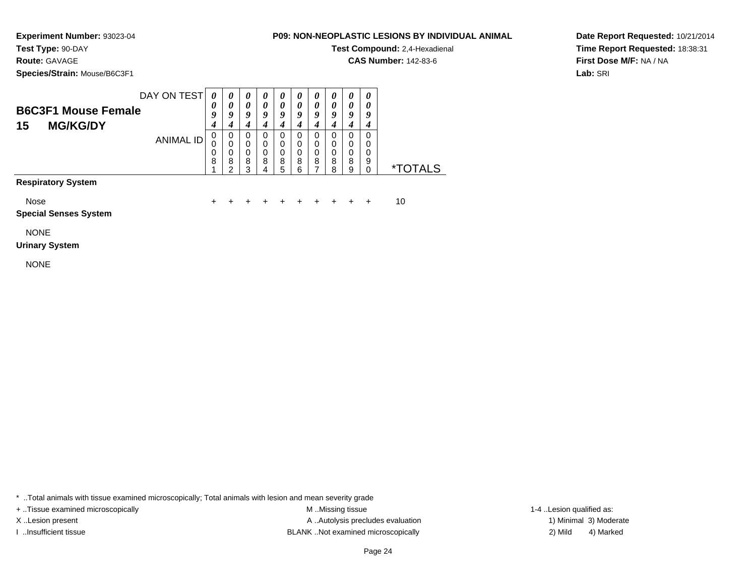**Test Type:** 90-DAY

# **Route:** GAVAGE

**Species/Strain:** Mouse/B6C3F1

## **P09: NON-NEOPLASTIC LESIONS BY INDIVIDUAL ANIMAL**

**Test Compound:** 2,4-Hexadienal

**CAS Number:** 142-83-6

**Date Report Requested:** 10/21/2014**Time Report Requested:** 18:38:31**First Dose M/F:** NA / NA**Lab:** SRI

| DAY ON TEST                | 0                     | $\boldsymbol{\theta}$ | $\boldsymbol{\theta}$ | U | U | U | $\boldsymbol{\theta}$ | U |   |   |
|----------------------------|-----------------------|-----------------------|-----------------------|---|---|---|-----------------------|---|---|---|
| <b>B6C3F1 Mouse Female</b> | $\boldsymbol{\theta}$ | 0                     | 0                     |   | 0 |   | 0                     |   |   |   |
|                            | Q                     | o                     | o                     | 0 |   |   | 9                     | а | o | g |
| <b>MG/KG/DY</b><br>15      |                       |                       |                       |   |   |   |                       |   |   |   |
| ANIMAL ID                  |                       | 0                     |                       |   |   |   | 0                     |   |   |   |
|                            |                       |                       |                       |   |   |   | 0                     |   |   |   |
|                            | υ                     |                       | 0                     |   | 0 | 0 | 0                     | 0 | 0 |   |
|                            | 8                     | 8<br>c                | 8<br>っ                | 8 | 8 | 8 | 8                     | 8 | 8 | 9 |
|                            |                       |                       |                       |   |   | ี |                       | Ջ | a |   |
|                            |                       |                       |                       |   |   |   |                       |   |   |   |

**Respiratory System**

Nose

 $e$  + <sup>+</sup> <sup>+</sup> <sup>+</sup> <sup>+</sup> <sup>+</sup> <sup>+</sup> <sup>+</sup> <sup>+</sup> + 10

**Special Senses System**

NONE

#### **Urinary System**

NONE

\* ..Total animals with tissue examined microscopically; Total animals with lesion and mean severity grade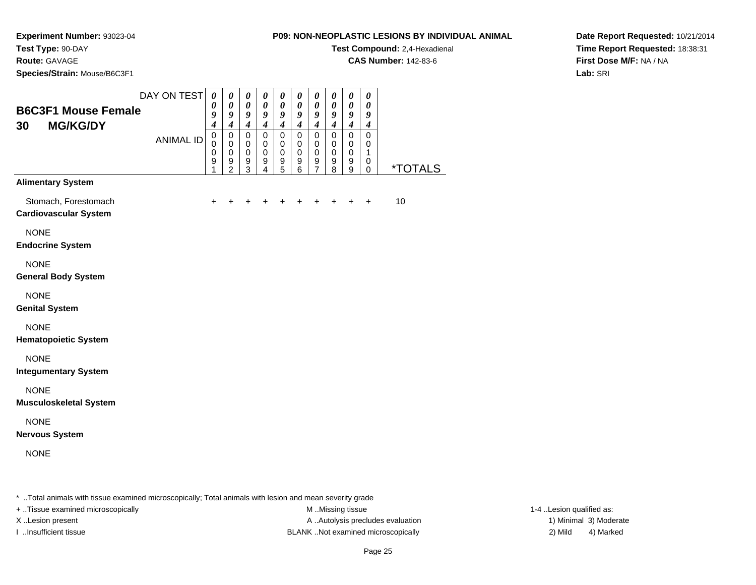**Experiment Number:** 93023-04**Test Type:** 90-DAY

**Route:** GAVAGE

**Species/Strain:** Mouse/B6C3F1

**Test Compound:** 2,4-Hexadienal

**CAS Number:** 142-83-6

**Date Report Requested:** 10/21/2014**Time Report Requested:** 18:38:31**First Dose M/F:** NA / NA**Lab:** SRI

| <b>B6C3F1 Mouse Female</b><br><b>MG/KG/DY</b><br>30  | DAY ON TEST      | $\boldsymbol{\theta}$<br>$\boldsymbol{\theta}$<br>9<br>$\boldsymbol{4}$ | $\boldsymbol{\theta}$<br>$\boldsymbol{\theta}$<br>$\boldsymbol{g}$<br>$\boldsymbol{4}$ | $\boldsymbol{\theta}$<br>$\pmb{\theta}$<br>$\boldsymbol{g}$<br>$\boldsymbol{4}$ | $\boldsymbol{\theta}$<br>$\pmb{\theta}$<br>$\boldsymbol{g}$<br>$\boldsymbol{4}$ | 0<br>$\pmb{\theta}$<br>$\boldsymbol{g}$<br>$\boldsymbol{4}$ | 0<br>$\pmb{\theta}$<br>9<br>$\boldsymbol{4}$                             | $\boldsymbol{\theta}$<br>$\pmb{\theta}$<br>$\boldsymbol{g}$<br>$\boldsymbol{4}$ | 0<br>$\pmb{\theta}$<br>9<br>$\boldsymbol{4}$ | 0<br>$\pmb{\theta}$<br>9<br>$\boldsymbol{4}$        | $\boldsymbol{\theta}$<br>$\boldsymbol{\theta}$<br>9<br>$\boldsymbol{4}$ |         |
|------------------------------------------------------|------------------|-------------------------------------------------------------------------|----------------------------------------------------------------------------------------|---------------------------------------------------------------------------------|---------------------------------------------------------------------------------|-------------------------------------------------------------|--------------------------------------------------------------------------|---------------------------------------------------------------------------------|----------------------------------------------|-----------------------------------------------------|-------------------------------------------------------------------------|---------|
|                                                      | <b>ANIMAL ID</b> | $\mathbf 0$<br>0<br>$\mathbf 0$<br>9<br>1                               | $\mathbf 0$<br>$\mathbf 0$<br>$\mathbf 0$<br>9<br>$\overline{2}$                       | $\mathbf 0$<br>$\,0\,$<br>$\pmb{0}$<br>$\frac{9}{3}$                            | $\mathbf 0$<br>$\pmb{0}$<br>$\pmb{0}$<br>9<br>$\overline{4}$                    | $\mathbf 0$<br>0<br>$\pmb{0}$<br>$\frac{9}{5}$              | $\mathbf 0$<br>0<br>$\mathbf 0$<br>$\begin{array}{c} 9 \\ 6 \end{array}$ | $\pmb{0}$<br>$\mathbf 0$<br>$\mathbf 0$<br>$\frac{9}{7}$                        | $\mathbf 0$<br>0<br>$\mathbf 0$<br>9<br>8    | $\mathbf 0$<br>$\mathbf 0$<br>$\mathbf 0$<br>9<br>9 | $\mathbf 0$<br>0<br>1<br>0<br>$\mathbf 0$                               | *TOTALS |
| <b>Alimentary System</b>                             |                  |                                                                         |                                                                                        |                                                                                 |                                                                                 |                                                             |                                                                          |                                                                                 |                                              |                                                     |                                                                         |         |
| Stomach, Forestomach<br><b>Cardiovascular System</b> |                  | $\ddot{}$                                                               |                                                                                        |                                                                                 |                                                                                 |                                                             |                                                                          |                                                                                 |                                              | +                                                   | $\ddot{}$                                                               | 10      |
| <b>NONE</b><br><b>Endocrine System</b>               |                  |                                                                         |                                                                                        |                                                                                 |                                                                                 |                                                             |                                                                          |                                                                                 |                                              |                                                     |                                                                         |         |
| <b>NONE</b><br><b>General Body System</b>            |                  |                                                                         |                                                                                        |                                                                                 |                                                                                 |                                                             |                                                                          |                                                                                 |                                              |                                                     |                                                                         |         |
| <b>NONE</b><br><b>Genital System</b>                 |                  |                                                                         |                                                                                        |                                                                                 |                                                                                 |                                                             |                                                                          |                                                                                 |                                              |                                                     |                                                                         |         |
| <b>NONE</b><br><b>Hematopoietic System</b>           |                  |                                                                         |                                                                                        |                                                                                 |                                                                                 |                                                             |                                                                          |                                                                                 |                                              |                                                     |                                                                         |         |
| <b>NONE</b><br><b>Integumentary System</b>           |                  |                                                                         |                                                                                        |                                                                                 |                                                                                 |                                                             |                                                                          |                                                                                 |                                              |                                                     |                                                                         |         |
| <b>NONE</b><br><b>Musculoskeletal System</b>         |                  |                                                                         |                                                                                        |                                                                                 |                                                                                 |                                                             |                                                                          |                                                                                 |                                              |                                                     |                                                                         |         |
| <b>NONE</b><br><b>Nervous System</b>                 |                  |                                                                         |                                                                                        |                                                                                 |                                                                                 |                                                             |                                                                          |                                                                                 |                                              |                                                     |                                                                         |         |
| <b>NONE</b>                                          |                  |                                                                         |                                                                                        |                                                                                 |                                                                                 |                                                             |                                                                          |                                                                                 |                                              |                                                     |                                                                         |         |
|                                                      |                  |                                                                         |                                                                                        |                                                                                 |                                                                                 |                                                             |                                                                          |                                                                                 |                                              |                                                     |                                                                         |         |

\* ..Total animals with tissue examined microscopically; Total animals with lesion and mean severity grade

+ ..Tissue examined microscopically examined microscopically examined as:  $M$  ..Missing tissue 1-4 ..Lesion qualified as:

X..Lesion present **A ..Autolysis precludes evaluation** A ..Autolysis precludes evaluation 1) Minimal 3) Moderate I ..Insufficient tissue BLANK ..Not examined microscopically 2) Mild 4) Marked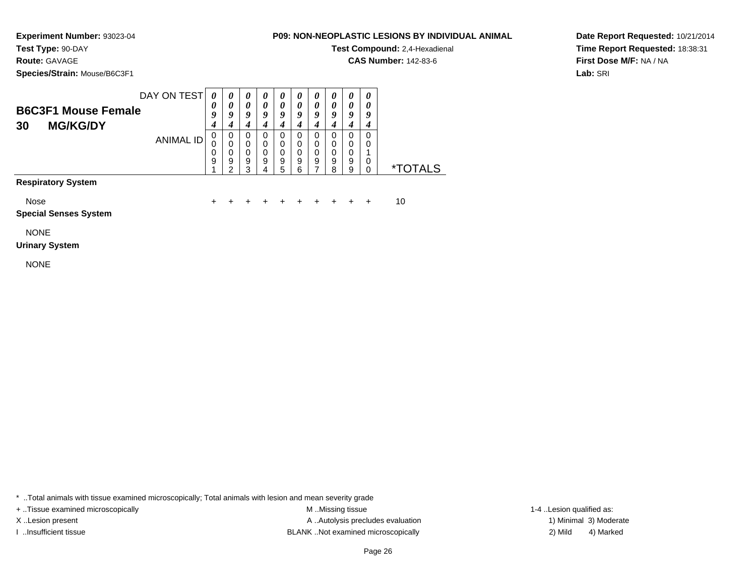**Test Type:** 90-DAY

# **Route:** GAVAGE

**Species/Strain:** Mouse/B6C3F1

## **P09: NON-NEOPLASTIC LESIONS BY INDIVIDUAL ANIMAL**

**Test Compound:** 2,4-Hexadienal

**CAS Number:** 142-83-6

**Date Report Requested:** 10/21/2014**Time Report Requested:** 18:38:31**First Dose M/F:** NA / NA**Lab:** SRI

| DAY ON TEST                | 0                     |   |   |   | $\boldsymbol{\theta}$ |   | U |   |   | $\boldsymbol{\theta}$ |                       |
|----------------------------|-----------------------|---|---|---|-----------------------|---|---|---|---|-----------------------|-----------------------|
| <b>B6C3F1 Mouse Female</b> | $\boldsymbol{\theta}$ |   | o | o | 0<br>q                | a | Q | a | o | ч                     |                       |
| 30<br><b>MG/KG/DY</b>      |                       |   |   |   |                       |   |   |   |   |                       |                       |
| ANIMAL ID                  | 0                     | O | O |   | O                     |   | 0 |   | 0 | 0                     |                       |
|                            |                       |   | O |   | 0                     |   | 0 |   | 0 | 0                     |                       |
|                            | 0                     |   | 0 |   | 0                     | 0 | 0 | 0 | 0 |                       |                       |
|                            | 9                     | 9 | 9 | 9 | 9                     | 9 | 9 | 9 | 9 | 0                     |                       |
|                            |                       |   | ≏ |   | 5                     | 6 |   | я | 9 |                       | <i><b>*TOTALS</b></i> |
| - -<br>.                   |                       |   |   |   |                       |   |   |   |   |                       |                       |

## **Respiratory System**

Nose

 $e$  + <sup>+</sup> <sup>+</sup> <sup>+</sup> <sup>+</sup> <sup>+</sup> <sup>+</sup> <sup>+</sup> <sup>+</sup> + 10

## **Special Senses System**

NONE

#### **Urinary System**

NONE

\* ..Total animals with tissue examined microscopically; Total animals with lesion and mean severity grade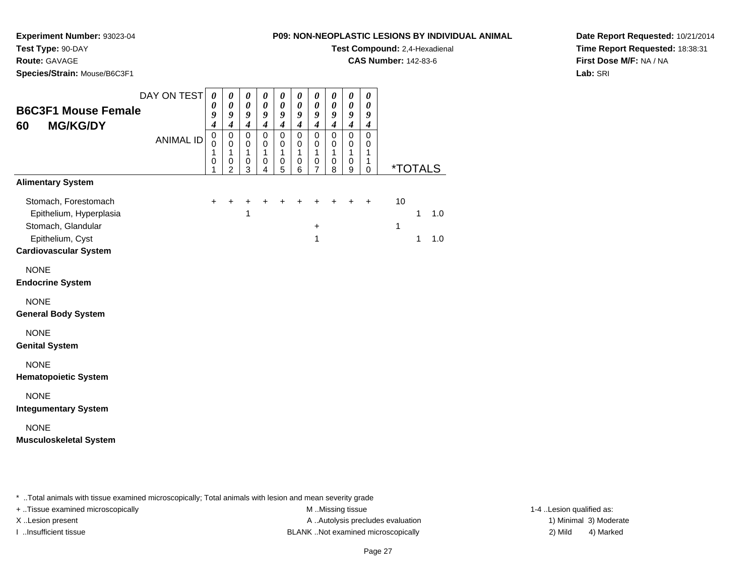**P09: NON-NEOPLASTIC LESIONS BY INDIVIDUAL ANIMALTest Compound:** 2,4-Hexadienal

**CAS Number:** 142-83-6

**Test Type:** 90-DAY**Route:** GAVAGE

**Species/Strain:** Mouse/B6C3F1

**Experiment Number:** 93023-04

**Date Report Requested:** 10/21/2014**Time Report Requested:** 18:38:31**First Dose M/F:** NA / NA**Lab:** SRI

| <b>B6C3F1 Mouse Female</b><br><b>MG/KG/DY</b><br>60                                                                                                   | DAY ON TEST<br><b>ANIMAL ID</b> | $\boldsymbol{\theta}$<br>$\boldsymbol{\theta}$<br>9<br>$\boldsymbol{4}$<br>$\pmb{0}$<br>$\mathbf 0$<br>1<br>$\mathbf 0$<br>1 | $\boldsymbol{\theta}$<br>$\boldsymbol{\theta}$<br>9<br>$\boldsymbol{4}$<br>$\mathbf 0$<br>$\mathbf 0$<br>$\mathbf{1}$<br>0<br>$\overline{2}$ | 0<br>$\boldsymbol{\theta}$<br>9<br>$\boldsymbol{4}$<br>0<br>$\pmb{0}$<br>$\mathbf{1}$<br>$\pmb{0}$<br>3 | $\pmb{\theta}$<br>$\boldsymbol{\theta}$<br>9<br>$\boldsymbol{4}$<br>$\mathsf 0$<br>$\pmb{0}$<br>1<br>$\pmb{0}$<br>4 | $\boldsymbol{\theta}$<br>$\boldsymbol{\theta}$<br>9<br>$\boldsymbol{4}$<br>$\pmb{0}$<br>$\mathbf 0$<br>1<br>$\mathbf 0$<br>5 | 0<br>$\boldsymbol{\theta}$<br>9<br>$\boldsymbol{4}$<br>0<br>$\pmb{0}$<br>1<br>$\mathbf 0$<br>6 | 0<br>$\boldsymbol{\theta}$<br>9<br>$\boldsymbol{4}$<br>$\mathsf 0$<br>0<br>1<br>$\pmb{0}$<br>$\overline{7}$ | 0<br>$\boldsymbol{\theta}$<br>9<br>$\boldsymbol{4}$<br>$\pmb{0}$<br>$\mathbf 0$<br>1<br>0<br>8 | 0<br>0<br>9<br>$\boldsymbol{4}$<br>$\mathsf 0$<br>$\mathsf 0$<br>1<br>0<br>9 | 0<br>0<br>9<br>$\boldsymbol{4}$<br>$\pmb{0}$<br>0<br>1<br>1<br>0 | <i><b>*TOTALS</b></i> |        |            |
|-------------------------------------------------------------------------------------------------------------------------------------------------------|---------------------------------|------------------------------------------------------------------------------------------------------------------------------|----------------------------------------------------------------------------------------------------------------------------------------------|---------------------------------------------------------------------------------------------------------|---------------------------------------------------------------------------------------------------------------------|------------------------------------------------------------------------------------------------------------------------------|------------------------------------------------------------------------------------------------|-------------------------------------------------------------------------------------------------------------|------------------------------------------------------------------------------------------------|------------------------------------------------------------------------------|------------------------------------------------------------------|-----------------------|--------|------------|
| <b>Alimentary System</b><br>Stomach, Forestomach<br>Epithelium, Hyperplasia<br>Stomach, Glandular<br>Epithelium, Cyst<br><b>Cardiovascular System</b> |                                 | $\ddot{}$                                                                                                                    | $\ddot{}$                                                                                                                                    | +<br>1                                                                                                  | $\ddot{}$                                                                                                           | $\ddot{}$                                                                                                                    |                                                                                                | +<br>$\ddot{}$<br>1                                                                                         | $\ddot{}$                                                                                      | $\ddot{}$                                                                    | $\ddot{}$                                                        | 10<br>1               | 1<br>1 | 1.0<br>1.0 |
| <b>NONE</b><br><b>Endocrine System</b><br><b>NONE</b><br><b>General Body System</b>                                                                   |                                 |                                                                                                                              |                                                                                                                                              |                                                                                                         |                                                                                                                     |                                                                                                                              |                                                                                                |                                                                                                             |                                                                                                |                                                                              |                                                                  |                       |        |            |
| <b>NONE</b><br><b>Genital System</b><br><b>NONE</b><br><b>Hematopoietic System</b><br><b>NONE</b>                                                     |                                 |                                                                                                                              |                                                                                                                                              |                                                                                                         |                                                                                                                     |                                                                                                                              |                                                                                                |                                                                                                             |                                                                                                |                                                                              |                                                                  |                       |        |            |
| <b>Integumentary System</b><br><b>NONE</b><br><b>Musculoskeletal System</b>                                                                           |                                 |                                                                                                                              |                                                                                                                                              |                                                                                                         |                                                                                                                     |                                                                                                                              |                                                                                                |                                                                                                             |                                                                                                |                                                                              |                                                                  |                       |        |            |

\* ..Total animals with tissue examined microscopically; Total animals with lesion and mean severity grade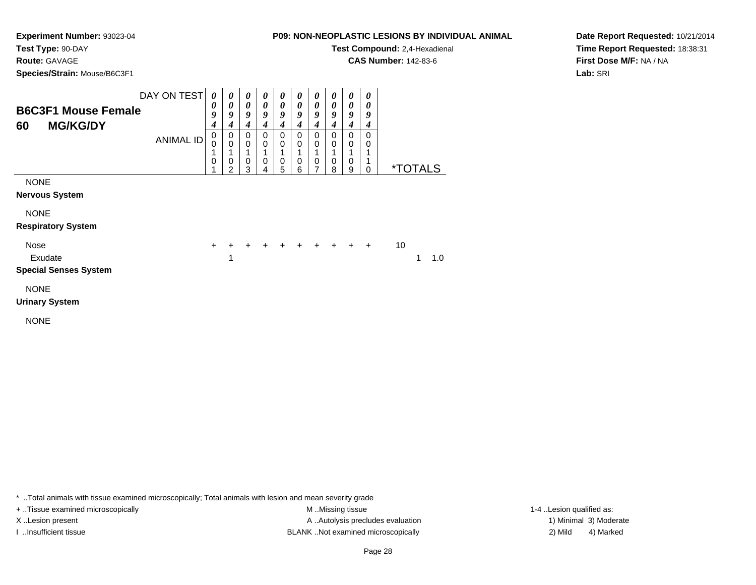**P09: NON-NEOPLASTIC LESIONS BY INDIVIDUAL ANIMALTest Compound:** 2,4-Hexadienal

**CAS Number:** 142-83-6

**Experiment Number:** 93023-04**Test Type:** 90-DAY

**Route:** GAVAGE

**Species/Strain:** Mouse/B6C3F1

**Date Report Requested:** 10/21/2014**Time Report Requested:** 18:38:31**First Dose M/F:** NA / NA**Lab:** SRI

| <b>B6C3F1 Mouse Female</b><br><b>MG/KG/DY</b><br>60 | DAY ON TEST<br><b>ANIMAL ID</b> | 0<br>0<br>9<br>4<br>0<br>0 | 0<br>$\boldsymbol{\theta}$<br>9<br>$\boldsymbol{4}$<br>0<br>$\mathbf 0$<br>1 | 0<br>0<br>9<br>4<br>0<br>0 | 0<br>0<br>9<br>4<br>0<br>0 | 0<br>0<br>9<br>4<br>0<br>0 | 0<br>0<br>9<br>4<br>0<br>0 | 0<br>$\boldsymbol{\theta}$<br>9<br>4<br>0<br>$\mathbf 0$<br>1 | 0<br>0<br>9<br>4<br>0<br>0 | 0<br>0<br>9<br>4<br>0<br>0 | 0<br>0<br>9<br>4<br>0<br>0 |                       |
|-----------------------------------------------------|---------------------------------|----------------------------|------------------------------------------------------------------------------|----------------------------|----------------------------|----------------------------|----------------------------|---------------------------------------------------------------|----------------------------|----------------------------|----------------------------|-----------------------|
|                                                     |                                 | 0                          | $\mathbf 0$<br>2                                                             | 0<br>3                     | 0<br>4                     | $\mathbf 0$<br>5           | $\mathbf 0$<br>6           | $\mathbf 0$<br>7                                              | 0<br>8                     | $\mathbf 0$<br>9           | 0                          | <i><b>*TOTALS</b></i> |
| <b>NONE</b><br><b>Nervous System</b>                |                                 |                            |                                                                              |                            |                            |                            |                            |                                                               |                            |                            |                            |                       |
| <b>NONE</b><br><b>Respiratory System</b>            |                                 |                            |                                                                              |                            |                            |                            |                            |                                                               |                            |                            |                            |                       |
| Nose<br>Exudate<br><b>Special Senses System</b>     |                                 | $\ddot{}$                  | 1                                                                            |                            |                            |                            | $+ + + + + + +$            |                                                               |                            |                            |                            | 10<br>1<br>1.0        |
| <b>NONE</b><br><b>Urinary System</b>                |                                 |                            |                                                                              |                            |                            |                            |                            |                                                               |                            |                            |                            |                       |

NONE

\* ..Total animals with tissue examined microscopically; Total animals with lesion and mean severity grade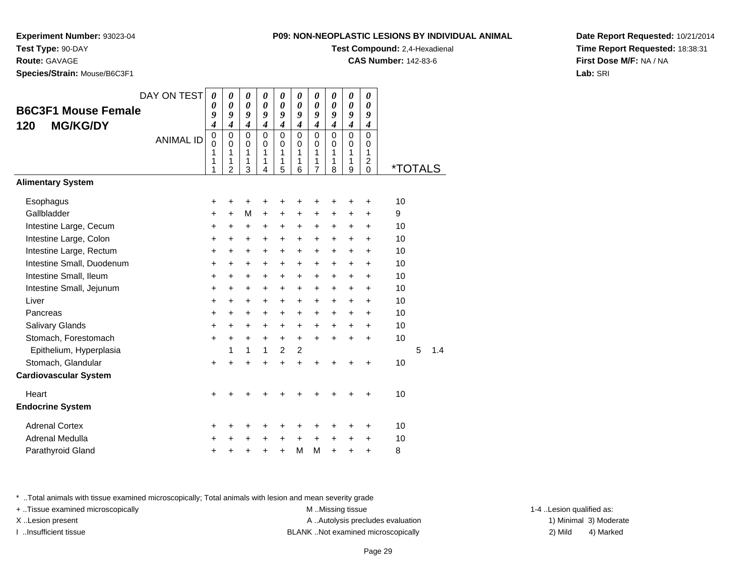**Experiment Number:** 93023-04

**Test Type:** 90-DAY**Route:** GAVAGE

**Species/Strain:** Mouse/B6C3F1

|  | 09: NON-NEOPLASTIC LESIONS BY INDIVIDUAL ANIMAL |  |  |
|--|-------------------------------------------------|--|--|
|  |                                                 |  |  |

**Test Compound:** 2,4-Hexadienal

**CAS Number:** 142-83-6

**Date Report Requested:** 10/21/2014**Time Report Requested:** 18:38:31**First Dose M/F:** NA / NA**Lab:** SRI

|                              | DAY ON TEST      | $\boldsymbol{\theta}$       | 0                                                 | 0                                      | $\boldsymbol{\theta}$                                | 0                               | 0                               | $\boldsymbol{\theta}$                            | 0                               | 0                                              | 0                                                     |                       |   |     |
|------------------------------|------------------|-----------------------------|---------------------------------------------------|----------------------------------------|------------------------------------------------------|---------------------------------|---------------------------------|--------------------------------------------------|---------------------------------|------------------------------------------------|-------------------------------------------------------|-----------------------|---|-----|
| <b>B6C3F1 Mouse Female</b>   |                  | 0<br>9                      | 0<br>$\boldsymbol{g}$                             | 0<br>9                                 | $\boldsymbol{\theta}$<br>9                           | $\theta$<br>9                   | $\boldsymbol{\theta}$<br>9      | 0<br>9                                           | 0<br>9                          | 0<br>9                                         | 0<br>9                                                |                       |   |     |
| <b>MG/KG/DY</b><br>120       |                  | $\overline{\boldsymbol{4}}$ | $\boldsymbol{4}$                                  | $\boldsymbol{4}$                       | $\boldsymbol{4}$                                     | $\boldsymbol{4}$                | $\boldsymbol{4}$                | $\boldsymbol{4}$                                 | $\boldsymbol{4}$                | $\boldsymbol{4}$                               | $\boldsymbol{4}$                                      |                       |   |     |
|                              | <b>ANIMAL ID</b> | 0<br>0<br>1<br>1<br>1       | $\pmb{0}$<br>$\Omega$<br>1<br>1<br>$\overline{2}$ | $\mathbf 0$<br>$\Omega$<br>1<br>1<br>3 | $\mathbf 0$<br>$\mathbf 0$<br>$\mathbf{1}$<br>1<br>4 | $\mathbf 0$<br>0<br>1<br>1<br>5 | $\mathbf 0$<br>0<br>1<br>1<br>6 | $\Omega$<br>$\Omega$<br>1<br>1<br>$\overline{7}$ | $\mathbf 0$<br>0<br>1<br>1<br>8 | $\Omega$<br>$\Omega$<br>$\mathbf{1}$<br>1<br>9 | $\mathbf 0$<br>0<br>1<br>$\overline{\mathbf{c}}$<br>0 | <i><b>*TOTALS</b></i> |   |     |
| <b>Alimentary System</b>     |                  |                             |                                                   |                                        |                                                      |                                 |                                 |                                                  |                                 |                                                |                                                       |                       |   |     |
| Esophagus                    |                  | +                           | +                                                 | +                                      | +                                                    | +                               | +                               |                                                  |                                 | +                                              | +                                                     | 10                    |   |     |
| Gallbladder                  |                  | $\ddot{}$                   | $\ddot{}$                                         | M                                      | $\ddot{}$                                            | +                               | $\ddot{}$                       | $\ddot{}$                                        | $\ddot{}$                       | +                                              | +                                                     | 9                     |   |     |
| Intestine Large, Cecum       |                  | $\ddot{}$                   | $\ddot{}$                                         | +                                      | $\ddot{}$                                            | +                               | $\ddot{}$                       | +                                                | $\ddot{}$                       | $\ddot{}$                                      | $\ddot{}$                                             | 10                    |   |     |
| Intestine Large, Colon       |                  | $\ddot{}$                   | $\ddot{}$                                         | $\ddot{}$                              | $\ddot{}$                                            | $+$                             | $\ddot{}$                       | $\ddot{}$                                        | $\ddot{}$                       | +                                              | +                                                     | 10                    |   |     |
| Intestine Large, Rectum      |                  | $\ddot{}$                   | $\ddot{}$                                         | $\ddot{}$                              | $\ddot{}$                                            | $\ddot{}$                       | $\ddot{}$                       | $\ddot{}$                                        | $\ddot{}$                       | $\ddot{}$                                      | $\ddot{}$                                             | 10                    |   |     |
| Intestine Small, Duodenum    |                  | $\ddot{}$                   | $\ddot{}$                                         | $\ddot{}$                              | $\ddot{}$                                            | +                               | $\ddot{}$                       | $\ddot{}$                                        | $\ddot{}$                       | +                                              | +                                                     | 10                    |   |     |
| Intestine Small, Ileum       |                  | $\ddot{}$                   | $\ddot{}$                                         | $\pm$                                  | $\ddot{}$                                            | $\ddot{}$                       | $\ddot{}$                       | $\ddot{}$                                        | $\ddot{}$                       | +                                              | $\ddot{}$                                             | 10                    |   |     |
| Intestine Small, Jejunum     |                  | $\ddot{}$                   | $\ddot{}$                                         | $\ddot{}$                              | $\ddot{}$                                            | +                               | $\ddot{}$                       | $\ddot{}$                                        | $\ddot{}$                       | $\ddot{}$                                      | $\ddot{}$                                             | 10                    |   |     |
| Liver                        |                  | $\ddot{}$                   | $\ddot{}$                                         | $\ddot{}$                              | $\ddot{}$                                            | +                               | $\ddot{}$                       | $\ddot{}$                                        | $\ddot{}$                       | $\ddot{}$                                      | $\ddot{}$                                             | 10                    |   |     |
| Pancreas                     |                  | $\ddot{}$                   | $\ddot{}$                                         | +                                      | $\ddot{}$                                            | +                               | $\ddot{}$                       | $\ddot{}$                                        | $\ddot{}$                       | +                                              | +                                                     | 10                    |   |     |
| Salivary Glands              |                  | $\ddot{}$                   | $\ddot{}$                                         | $\ddot{}$                              | $\ddot{}$                                            | +                               | $\ddot{}$                       | $\ddot{}$                                        | $\ddot{}$                       | $\ddot{}$                                      | $\ddot{}$                                             | 10                    |   |     |
| Stomach, Forestomach         |                  | $\ddot{}$                   | $\ddot{}$                                         | $\ddot{}$                              | $\ddot{}$                                            | $\ddot{}$                       | $\ddot{}$                       | $\ddot{}$                                        | $\ddot{}$                       | $\ddot{}$                                      | $\ddot{}$                                             | 10                    |   |     |
| Epithelium, Hyperplasia      |                  |                             | 1                                                 | 1                                      | 1                                                    | $\overline{2}$                  | $\overline{2}$                  |                                                  |                                 |                                                |                                                       |                       | 5 | 1.4 |
| Stomach, Glandular           |                  | $\ddot{}$                   | $\ddot{}$                                         | $\ddot{}$                              | $\ddot{}$                                            | $\ddot{}$                       | $\ddot{}$                       | ÷                                                |                                 |                                                | $\ddot{}$                                             | 10                    |   |     |
| <b>Cardiovascular System</b> |                  |                             |                                                   |                                        |                                                      |                                 |                                 |                                                  |                                 |                                                |                                                       |                       |   |     |
| Heart                        |                  | $\ddot{}$                   |                                                   |                                        |                                                      |                                 |                                 |                                                  |                                 |                                                | $\ddot{}$                                             | 10                    |   |     |
| <b>Endocrine System</b>      |                  |                             |                                                   |                                        |                                                      |                                 |                                 |                                                  |                                 |                                                |                                                       |                       |   |     |
| <b>Adrenal Cortex</b>        |                  | ٠                           | ٠                                                 |                                        |                                                      |                                 | +                               |                                                  |                                 |                                                | +                                                     | 10                    |   |     |
| Adrenal Medulla              |                  | +                           | +                                                 | +                                      | +                                                    | +                               | +                               | $\ddot{}$                                        | +                               | +                                              | +                                                     | 10                    |   |     |
| Parathyroid Gland            |                  | +                           | +                                                 | +                                      | +                                                    | $\ddot{}$                       | M                               | M                                                | $\ddot{}$                       | +                                              | $\ddot{}$                                             | 8                     |   |     |

\* ..Total animals with tissue examined microscopically; Total animals with lesion and mean severity grade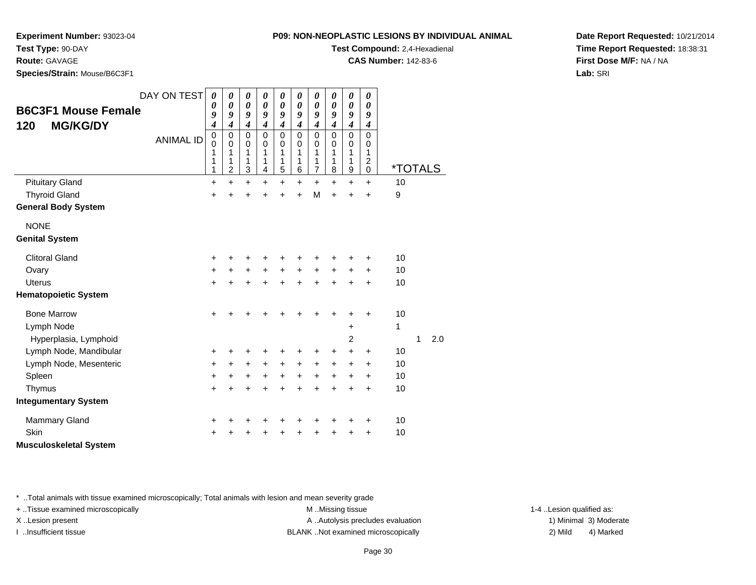**P09: NON-NEOPLASTIC LESIONS BY INDIVIDUAL ANIMALTest Compound:** 2,4-Hexadienal

**CAS Number:** 142-83-6

**Experiment Number:** 93023-04

**Test Type:** 90-DAY

**Route:** GAVAGE

**Species/Strain:** Mouse/B6C3F1

| <b>B6C3F1 Mouse Female</b><br><b>MG/KG/DY</b><br>120 | DAY ON TEST<br><b>ANIMAL ID</b> | $\boldsymbol{\theta}$<br>0<br>9<br>4<br>$\mathbf 0$<br>$\mathbf 0$<br>1<br>1<br>1 | $\boldsymbol{\theta}$<br>$\boldsymbol{\theta}$<br>9<br>$\boldsymbol{4}$<br>$\pmb{0}$<br>$\mathbf 0$<br>$\mathbf{1}$<br>1<br>$\overline{c}$ | $\boldsymbol{\theta}$<br>$\boldsymbol{\theta}$<br>9<br>$\boldsymbol{4}$<br>$\mathbf 0$<br>$\mathbf 0$<br>1<br>1<br>3 | $\boldsymbol{\theta}$<br>$\boldsymbol{\theta}$<br>9<br>$\boldsymbol{4}$<br>$\mathbf 0$<br>$\mathbf 0$<br>1<br>1<br>$\overline{\mathbf{4}}$ | 0<br>0<br>9<br>4<br>$\mathbf 0$<br>0<br>1<br>1<br>5 | $\pmb{\theta}$<br>0<br>9<br>$\boldsymbol{4}$<br>$\mathbf 0$<br>0<br>1<br>1<br>$\,6$ | $\boldsymbol{\theta}$<br>$\boldsymbol{\theta}$<br>9<br>$\boldsymbol{4}$<br>$\mathbf 0$<br>0<br>1<br>1<br>$\overline{7}$ | 0<br>0<br>9<br>$\boldsymbol{4}$<br>$\mathsf 0$<br>$\mathbf 0$<br>1<br>1<br>8 | 0<br>0<br>9<br>$\boldsymbol{4}$<br>0<br>0<br>1<br>1<br>9 | 0<br>0<br>9<br>$\boldsymbol{4}$<br>$\mathbf 0$<br>0<br>1<br>2<br>$\pmb{0}$ | <i><b>*TOTALS</b></i> |   |     |  |
|------------------------------------------------------|---------------------------------|-----------------------------------------------------------------------------------|--------------------------------------------------------------------------------------------------------------------------------------------|----------------------------------------------------------------------------------------------------------------------|--------------------------------------------------------------------------------------------------------------------------------------------|-----------------------------------------------------|-------------------------------------------------------------------------------------|-------------------------------------------------------------------------------------------------------------------------|------------------------------------------------------------------------------|----------------------------------------------------------|----------------------------------------------------------------------------|-----------------------|---|-----|--|
| <b>Pituitary Gland</b>                               |                                 | $\ddot{}$                                                                         | $\ddot{}$                                                                                                                                  | $\ddot{}$                                                                                                            | $\ddot{}$                                                                                                                                  | $\ddot{}$                                           | $\ddot{}$                                                                           | $\ddot{}$                                                                                                               | $\ddot{}$                                                                    | $\ddot{}$                                                | $\ddot{}$                                                                  | 10                    |   |     |  |
| <b>Thyroid Gland</b>                                 |                                 | $\ddot{}$                                                                         | $\ddot{}$                                                                                                                                  | $\ddot{}$                                                                                                            | $\ddot{}$                                                                                                                                  | $\ddot{}$                                           | $\ddot{}$                                                                           | M                                                                                                                       | $\ddot{}$                                                                    | $\ddot{}$                                                | $\ddot{}$                                                                  | 9                     |   |     |  |
| <b>General Body System</b>                           |                                 |                                                                                   |                                                                                                                                            |                                                                                                                      |                                                                                                                                            |                                                     |                                                                                     |                                                                                                                         |                                                                              |                                                          |                                                                            |                       |   |     |  |
| <b>NONE</b><br><b>Genital System</b>                 |                                 |                                                                                   |                                                                                                                                            |                                                                                                                      |                                                                                                                                            |                                                     |                                                                                     |                                                                                                                         |                                                                              |                                                          |                                                                            |                       |   |     |  |
| <b>Clitoral Gland</b>                                |                                 |                                                                                   |                                                                                                                                            |                                                                                                                      |                                                                                                                                            |                                                     |                                                                                     |                                                                                                                         |                                                                              |                                                          |                                                                            | 10                    |   |     |  |
|                                                      |                                 | +                                                                                 | +                                                                                                                                          | +                                                                                                                    | +                                                                                                                                          | $\ddot{}$                                           | +<br>$+$                                                                            | +<br>$\ddot{}$                                                                                                          | ٠                                                                            | +                                                        | ÷                                                                          | 10                    |   |     |  |
| Ovary<br><b>Uterus</b>                               |                                 | +<br>$\ddot{}$                                                                    | +<br>$\ddot{}$                                                                                                                             | $\ddot{}$<br>$\ddot{}$                                                                                               | $\ddot{}$<br>$\ddot{}$                                                                                                                     | $\ddot{}$                                           | $\ddot{}$                                                                           | $\ddot{}$                                                                                                               | $\ddot{}$<br>$\ddot{}$                                                       | $\ddot{}$<br>$\ddot{}$                                   | $\ddot{}$<br>$\ddot{}$                                                     | 10                    |   |     |  |
| <b>Hematopoietic System</b>                          |                                 |                                                                                   |                                                                                                                                            |                                                                                                                      |                                                                                                                                            |                                                     |                                                                                     |                                                                                                                         |                                                                              |                                                          |                                                                            |                       |   |     |  |
| <b>Bone Marrow</b>                                   |                                 | $\ddot{}$                                                                         |                                                                                                                                            |                                                                                                                      |                                                                                                                                            |                                                     | +                                                                                   | +                                                                                                                       | $\ddot{}$                                                                    | +                                                        | $\ddot{}$                                                                  | 10                    |   |     |  |
| Lymph Node                                           |                                 |                                                                                   |                                                                                                                                            |                                                                                                                      |                                                                                                                                            |                                                     |                                                                                     |                                                                                                                         |                                                                              | $\ddot{}$                                                |                                                                            | 1                     |   |     |  |
| Hyperplasia, Lymphoid                                |                                 |                                                                                   |                                                                                                                                            |                                                                                                                      |                                                                                                                                            |                                                     |                                                                                     |                                                                                                                         |                                                                              | 2                                                        |                                                                            |                       | 1 | 2.0 |  |
| Lymph Node, Mandibular                               |                                 | +                                                                                 | +                                                                                                                                          | +                                                                                                                    | +                                                                                                                                          | +                                                   | +                                                                                   | +                                                                                                                       | +                                                                            | $\ddot{}$                                                | $\ddot{}$                                                                  | 10                    |   |     |  |
| Lymph Node, Mesenteric                               |                                 | $\ddot{}$                                                                         | $\ddot{}$                                                                                                                                  | $\ddot{}$                                                                                                            | $\ddot{}$                                                                                                                                  | $\ddot{}$                                           | $\ddot{}$                                                                           | $\ddot{}$                                                                                                               | $\ddot{}$                                                                    | $\ddot{}$                                                | $\ddot{}$                                                                  | 10                    |   |     |  |
| Spleen                                               |                                 | +                                                                                 | $\ddot{}$                                                                                                                                  | $\ddot{}$                                                                                                            | $\ddot{}$                                                                                                                                  | $\ddot{}$                                           | $\ddot{}$                                                                           | $\ddot{}$                                                                                                               | $\ddot{}$                                                                    | $\ddot{}$                                                | $\ddot{}$                                                                  | 10                    |   |     |  |
| Thymus                                               |                                 | $\ddot{}$                                                                         | $\ddot{}$                                                                                                                                  | $\ddot{}$                                                                                                            | $\ddot{}$                                                                                                                                  | $\ddot{}$                                           | $\ddot{}$                                                                           | $\ddot{}$                                                                                                               | $\ddot{}$                                                                    | $\ddot{}$                                                | $\ddot{}$                                                                  | 10                    |   |     |  |
| <b>Integumentary System</b>                          |                                 |                                                                                   |                                                                                                                                            |                                                                                                                      |                                                                                                                                            |                                                     |                                                                                     |                                                                                                                         |                                                                              |                                                          |                                                                            |                       |   |     |  |
| <b>Mammary Gland</b>                                 |                                 | +                                                                                 | ٠                                                                                                                                          | +                                                                                                                    | +                                                                                                                                          |                                                     | +                                                                                   | +                                                                                                                       | +                                                                            | +                                                        | $\ddot{}$                                                                  | 10                    |   |     |  |
| Skin                                                 |                                 | +                                                                                 | +                                                                                                                                          |                                                                                                                      | +                                                                                                                                          |                                                     | +                                                                                   | +                                                                                                                       | +                                                                            | +                                                        | +                                                                          | 10                    |   |     |  |
| <b>Musculoskeletal System</b>                        |                                 |                                                                                   |                                                                                                                                            |                                                                                                                      |                                                                                                                                            |                                                     |                                                                                     |                                                                                                                         |                                                                              |                                                          |                                                                            |                       |   |     |  |

\* ..Total animals with tissue examined microscopically; Total animals with lesion and mean severity grade

+ ..Tissue examined microscopically examined microscopically examined as:  $M$  ..Missing tissue 1-4 ..Lesion qualified as: X..Lesion present **A ..Autolysis precludes evaluation** A ..Autolysis precludes evaluation 1) Minimal 3) Moderate

I ..Insufficient tissue BLANK ..Not examined microscopically 2) Mild 4) Marked

**Date Report Requested:** 10/21/2014**Time Report Requested:** 18:38:31**First Dose M/F:** NA / NA**Lab:** SRI